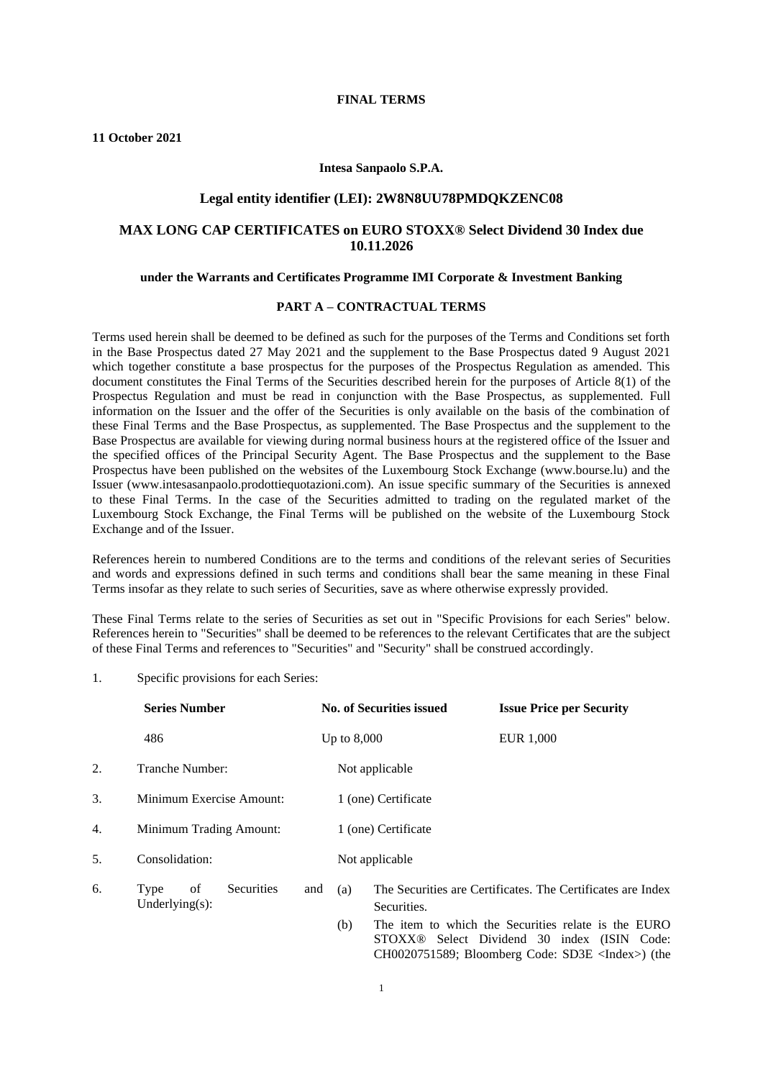#### **FINAL TERMS**

**11 October 2021**

#### **Intesa Sanpaolo S.P.A.**

#### **Legal entity identifier (LEI): 2W8N8UU78PMDQKZENC08**

### **MAX LONG CAP CERTIFICATES on EURO STOXX® Select Dividend 30 Index due 10.11.2026**

#### **under the Warrants and Certificates Programme IMI Corporate & Investment Banking**

## **PART A – CONTRACTUAL TERMS**

Terms used herein shall be deemed to be defined as such for the purposes of the Terms and Conditions set forth in the Base Prospectus dated 27 May 2021 and the supplement to the Base Prospectus dated 9 August 2021 which together constitute a base prospectus for the purposes of the Prospectus Regulation as amended. This document constitutes the Final Terms of the Securities described herein for the purposes of Article 8(1) of the Prospectus Regulation and must be read in conjunction with the Base Prospectus, as supplemented. Full information on the Issuer and the offer of the Securities is only available on the basis of the combination of these Final Terms and the Base Prospectus, as supplemented. The Base Prospectus and the supplement to the Base Prospectus are available for viewing during normal business hours at the registered office of the Issuer and the specified offices of the Principal Security Agent. The Base Prospectus and the supplement to the Base Prospectus have been published on the websites of the Luxembourg Stock Exchange (www.bourse.lu) and the Issuer (www.intesasanpaolo.prodottiequotazioni.com). An issue specific summary of the Securities is annexed to these Final Terms. In the case of the Securities admitted to trading on the regulated market of the Luxembourg Stock Exchange, the Final Terms will be published on the website of the Luxembourg Stock Exchange and of the Issuer.

References herein to numbered Conditions are to the terms and conditions of the relevant series of Securities and words and expressions defined in such terms and conditions shall bear the same meaning in these Final Terms insofar as they relate to such series of Securities, save as where otherwise expressly provided.

These Final Terms relate to the series of Securities as set out in "Specific Provisions for each Series" below. References herein to "Securities" shall be deemed to be references to the relevant Certificates that are the subject of these Final Terms and references to "Securities" and "Security" shall be construed accordingly.

1. Specific provisions for each Series:

|    | <b>Series Number</b>                           |               | <b>No. of Securities issued</b> |                     | <b>Issue Price per Security</b>                                                                                |
|----|------------------------------------------------|---------------|---------------------------------|---------------------|----------------------------------------------------------------------------------------------------------------|
|    | 486                                            | Up to $8,000$ |                                 |                     | EUR 1,000                                                                                                      |
| 2. | Tranche Number:                                |               |                                 | Not applicable      |                                                                                                                |
| 3. | Minimum Exercise Amount:                       |               |                                 | 1 (one) Certificate |                                                                                                                |
| 4. | Minimum Trading Amount:                        |               |                                 | 1 (one) Certificate |                                                                                                                |
| 5. | Consolidation:                                 |               |                                 | Not applicable      |                                                                                                                |
| 6. | of<br>Securities<br>Type<br>Underlying $(s)$ : | and           | (a)                             | Securities.         | The Securities are Certificates. The Certificates are Index                                                    |
|    |                                                |               | (b)                             |                     | The item to which the Securities relate is the EURO<br>STOXX <sup>®</sup> Select Dividend 30 index (ISIN Code: |

CH0020751589; Bloomberg Code: SD3E <Index>) (the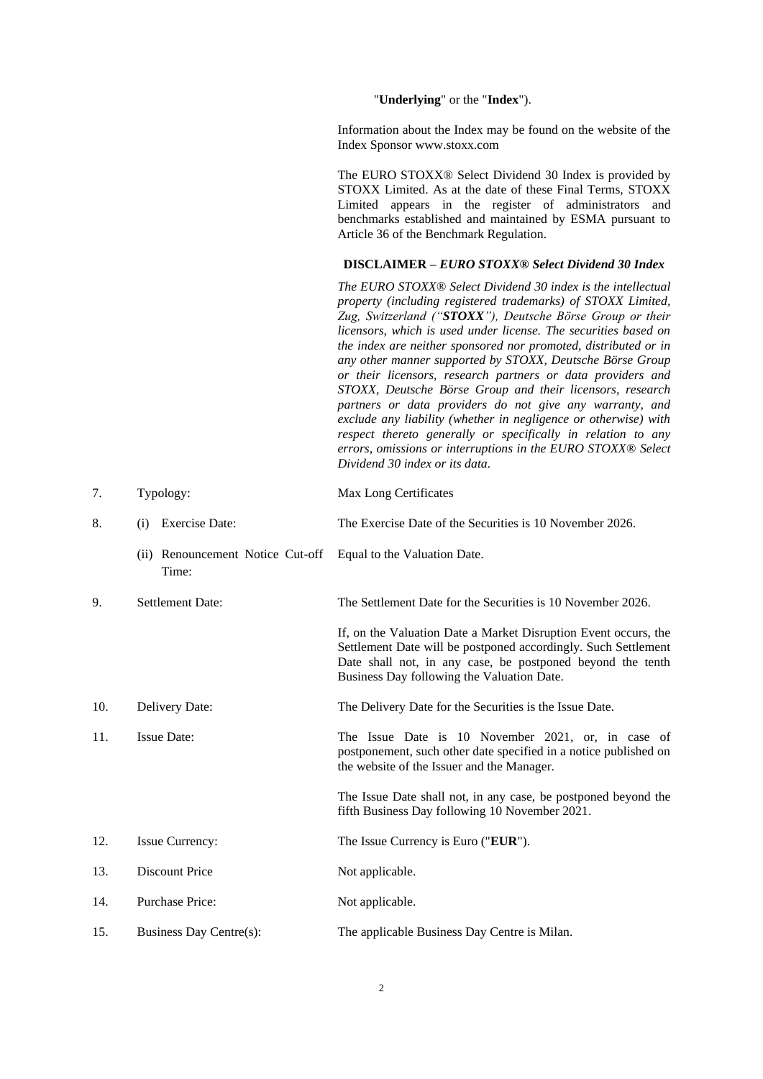"**Underlying**" or the "**Index**").

Information about the Index may be found on the website of the Index Sponsor www.stoxx.com

The EURO STOXX® Select Dividend 30 Index is provided by STOXX Limited. As at the date of these Final Terms, STOXX Limited appears in the register of administrators and benchmarks established and maintained by ESMA pursuant to Article 36 of the Benchmark Regulation.

## **DISCLAIMER –** *EURO STOXX® Select Dividend 30 Index*

*The EURO STOXX® Select Dividend 30 index is the intellectual property (including registered trademarks) of STOXX Limited, Zug, Switzerland ("STOXX"), Deutsche Börse Group or their licensors, which is used under license. The securities based on the index are neither sponsored nor promoted, distributed or in any other manner supported by STOXX, Deutsche Börse Group or their licensors, research partners or data providers and STOXX, Deutsche Börse Group and their licensors, research partners or data providers do not give any warranty, and exclude any liability (whether in negligence or otherwise) with respect thereto generally or specifically in relation to any errors, omissions or interruptions in the EURO STOXX® Select Dividend 30 index or its data.*

| 7.  | Typology:                                 | Max Long Certificates                                                                                                                                                                                                                         |
|-----|-------------------------------------------|-----------------------------------------------------------------------------------------------------------------------------------------------------------------------------------------------------------------------------------------------|
| 8.  | <b>Exercise Date:</b><br>(i)              | The Exercise Date of the Securities is 10 November 2026.                                                                                                                                                                                      |
|     | (ii) Renouncement Notice Cut-off<br>Time: | Equal to the Valuation Date.                                                                                                                                                                                                                  |
| 9.  | <b>Settlement Date:</b>                   | The Settlement Date for the Securities is 10 November 2026.                                                                                                                                                                                   |
|     |                                           | If, on the Valuation Date a Market Disruption Event occurs, the<br>Settlement Date will be postponed accordingly. Such Settlement<br>Date shall not, in any case, be postponed beyond the tenth<br>Business Day following the Valuation Date. |
| 10. | Delivery Date:                            | The Delivery Date for the Securities is the Issue Date.                                                                                                                                                                                       |
| 11. | <b>Issue Date:</b>                        | The Issue Date is 10 November 2021, or, in case of<br>postponement, such other date specified in a notice published on<br>the website of the Issuer and the Manager.                                                                          |
|     |                                           | The Issue Date shall not, in any case, be postponed beyond the<br>fifth Business Day following 10 November 2021.                                                                                                                              |
| 12. | <b>Issue Currency:</b>                    | The Issue Currency is Euro ("EUR").                                                                                                                                                                                                           |
| 13. | <b>Discount Price</b>                     | Not applicable.                                                                                                                                                                                                                               |
| 14. | <b>Purchase Price:</b>                    | Not applicable.                                                                                                                                                                                                                               |
| 15. | Business Day Centre(s):                   | The applicable Business Day Centre is Milan.                                                                                                                                                                                                  |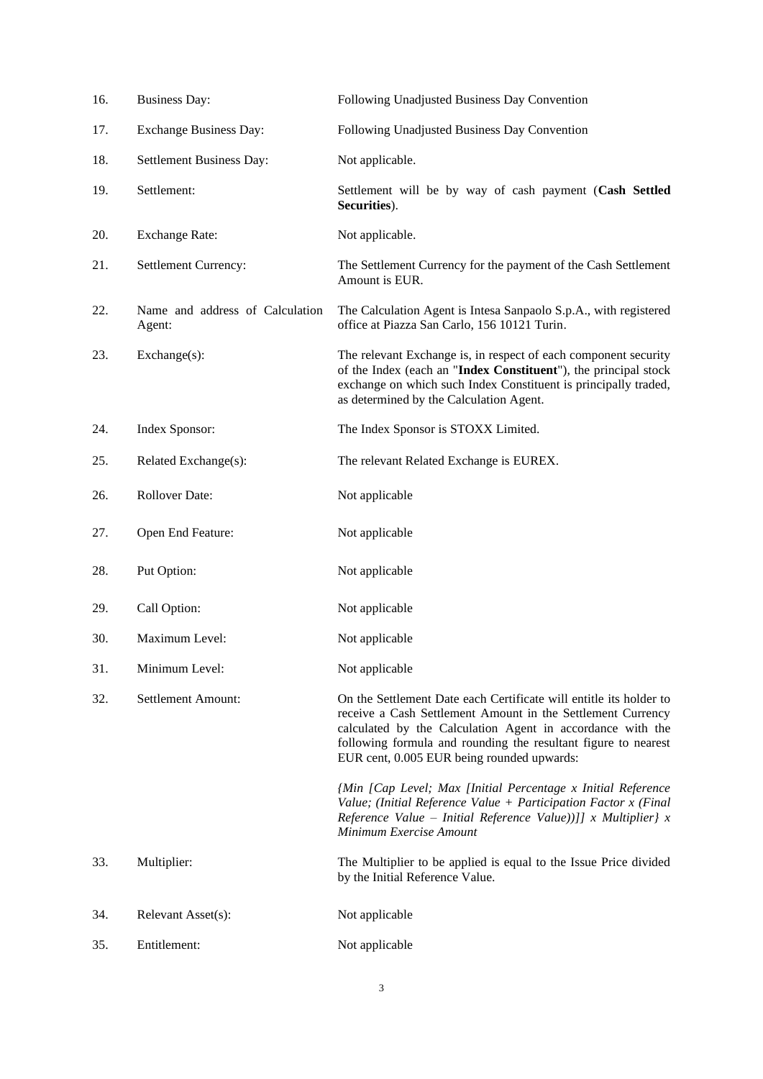| 16. | <b>Business Day:</b>                      | Following Unadjusted Business Day Convention                                                                                                                                                                                                                                                                    |
|-----|-------------------------------------------|-----------------------------------------------------------------------------------------------------------------------------------------------------------------------------------------------------------------------------------------------------------------------------------------------------------------|
| 17. | <b>Exchange Business Day:</b>             | Following Unadjusted Business Day Convention                                                                                                                                                                                                                                                                    |
| 18. | Settlement Business Day:                  | Not applicable.                                                                                                                                                                                                                                                                                                 |
| 19. | Settlement:                               | Settlement will be by way of cash payment (Cash Settled<br>Securities).                                                                                                                                                                                                                                         |
| 20. | <b>Exchange Rate:</b>                     | Not applicable.                                                                                                                                                                                                                                                                                                 |
| 21. | Settlement Currency:                      | The Settlement Currency for the payment of the Cash Settlement<br>Amount is EUR.                                                                                                                                                                                                                                |
| 22. | Name and address of Calculation<br>Agent: | The Calculation Agent is Intesa Sanpaolo S.p.A., with registered<br>office at Piazza San Carlo, 156 10121 Turin.                                                                                                                                                                                                |
| 23. | Exchange(s):                              | The relevant Exchange is, in respect of each component security<br>of the Index (each an "Index Constituent"), the principal stock<br>exchange on which such Index Constituent is principally traded,<br>as determined by the Calculation Agent.                                                                |
| 24. | Index Sponsor:                            | The Index Sponsor is STOXX Limited.                                                                                                                                                                                                                                                                             |
| 25. | Related Exchange(s):                      | The relevant Related Exchange is EUREX.                                                                                                                                                                                                                                                                         |
| 26. | <b>Rollover Date:</b>                     | Not applicable                                                                                                                                                                                                                                                                                                  |
| 27. | Open End Feature:                         | Not applicable                                                                                                                                                                                                                                                                                                  |
| 28. | Put Option:                               | Not applicable                                                                                                                                                                                                                                                                                                  |
| 29. | Call Option:                              | Not applicable                                                                                                                                                                                                                                                                                                  |
| 30. | Maximum Level:                            | Not applicable                                                                                                                                                                                                                                                                                                  |
| 31. | Minimum Level:                            | Not applicable                                                                                                                                                                                                                                                                                                  |
| 32. | Settlement Amount:                        | On the Settlement Date each Certificate will entitle its holder to<br>receive a Cash Settlement Amount in the Settlement Currency<br>calculated by the Calculation Agent in accordance with the<br>following formula and rounding the resultant figure to nearest<br>EUR cent, 0.005 EUR being rounded upwards: |
|     |                                           | {Min [Cap Level; Max [Initial Percentage x Initial Reference<br>Value; (Initial Reference Value + Participation Factor $x$ (Final<br>Reference Value – Initial Reference Value))]] x Multiplier} x<br>Minimum Exercise Amount                                                                                   |
| 33. | Multiplier:                               | The Multiplier to be applied is equal to the Issue Price divided<br>by the Initial Reference Value.                                                                                                                                                                                                             |
| 34. | Relevant Asset(s):                        | Not applicable                                                                                                                                                                                                                                                                                                  |
| 35. | Entitlement:                              | Not applicable                                                                                                                                                                                                                                                                                                  |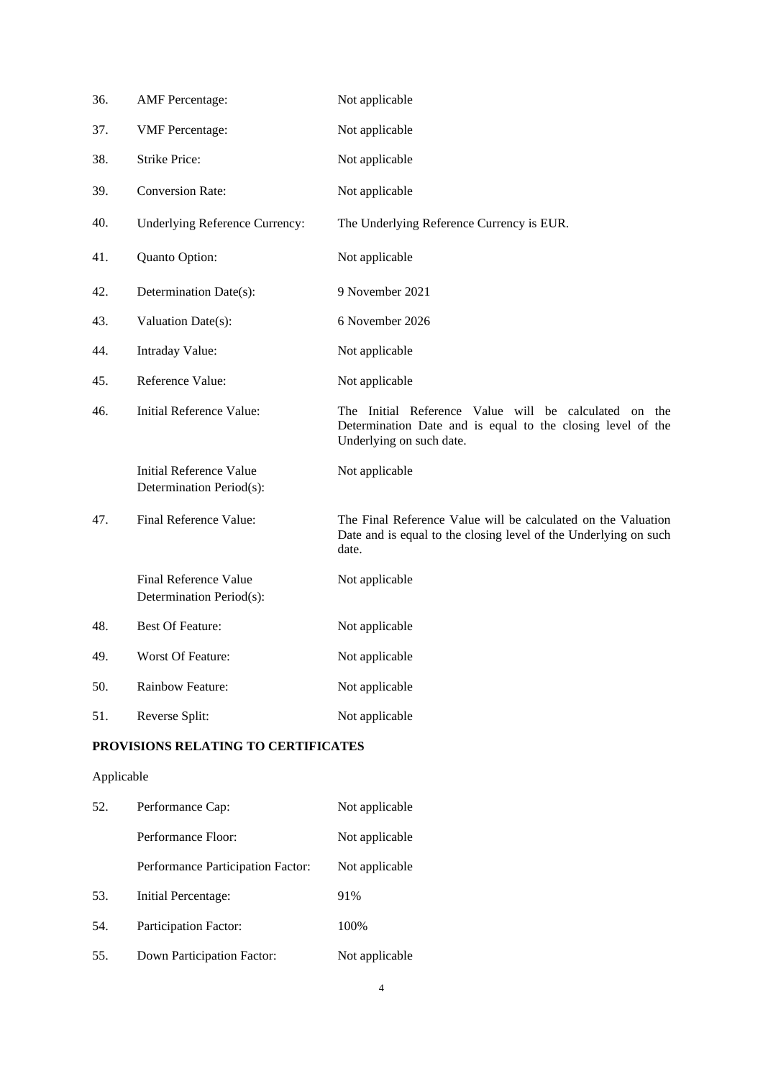| 36. | <b>AMF</b> Percentage:                                     | Not applicable                                                                                                                                   |
|-----|------------------------------------------------------------|--------------------------------------------------------------------------------------------------------------------------------------------------|
| 37. | <b>VMF</b> Percentage:                                     | Not applicable                                                                                                                                   |
| 38. | <b>Strike Price:</b>                                       | Not applicable                                                                                                                                   |
| 39. | <b>Conversion Rate:</b>                                    | Not applicable                                                                                                                                   |
| 40. | Underlying Reference Currency:                             | The Underlying Reference Currency is EUR.                                                                                                        |
| 41. | Quanto Option:                                             | Not applicable                                                                                                                                   |
| 42. | Determination Date(s):                                     | 9 November 2021                                                                                                                                  |
| 43. | Valuation Date(s):                                         | 6 November 2026                                                                                                                                  |
| 44. | Intraday Value:                                            | Not applicable                                                                                                                                   |
| 45. | Reference Value:                                           | Not applicable                                                                                                                                   |
| 46. | <b>Initial Reference Value:</b>                            | The Initial Reference Value will be calculated on the<br>Determination Date and is equal to the closing level of the<br>Underlying on such date. |
|     | <b>Initial Reference Value</b><br>Determination Period(s): | Not applicable                                                                                                                                   |
| 47. | Final Reference Value:                                     | The Final Reference Value will be calculated on the Valuation<br>Date and is equal to the closing level of the Underlying on such<br>date.       |
|     | Final Reference Value<br>Determination Period(s):          | Not applicable                                                                                                                                   |
| 48. | <b>Best Of Feature:</b>                                    | Not applicable                                                                                                                                   |
| 49. | Worst Of Feature:                                          | Not applicable                                                                                                                                   |
| 50. | Rainbow Feature:                                           | Not applicable                                                                                                                                   |
| 51. | Reverse Split:                                             | Not applicable                                                                                                                                   |

## **PROVISIONS RELATING TO CERTIFICATES**

# Applicable

| 52. | Performance Cap:                  | Not applicable |
|-----|-----------------------------------|----------------|
|     | Performance Floor:                | Not applicable |
|     | Performance Participation Factor: | Not applicable |
| 53. | Initial Percentage:               | 91%            |
| 54. | Participation Factor:             | 100%           |
| 55. | Down Participation Factor:        | Not applicable |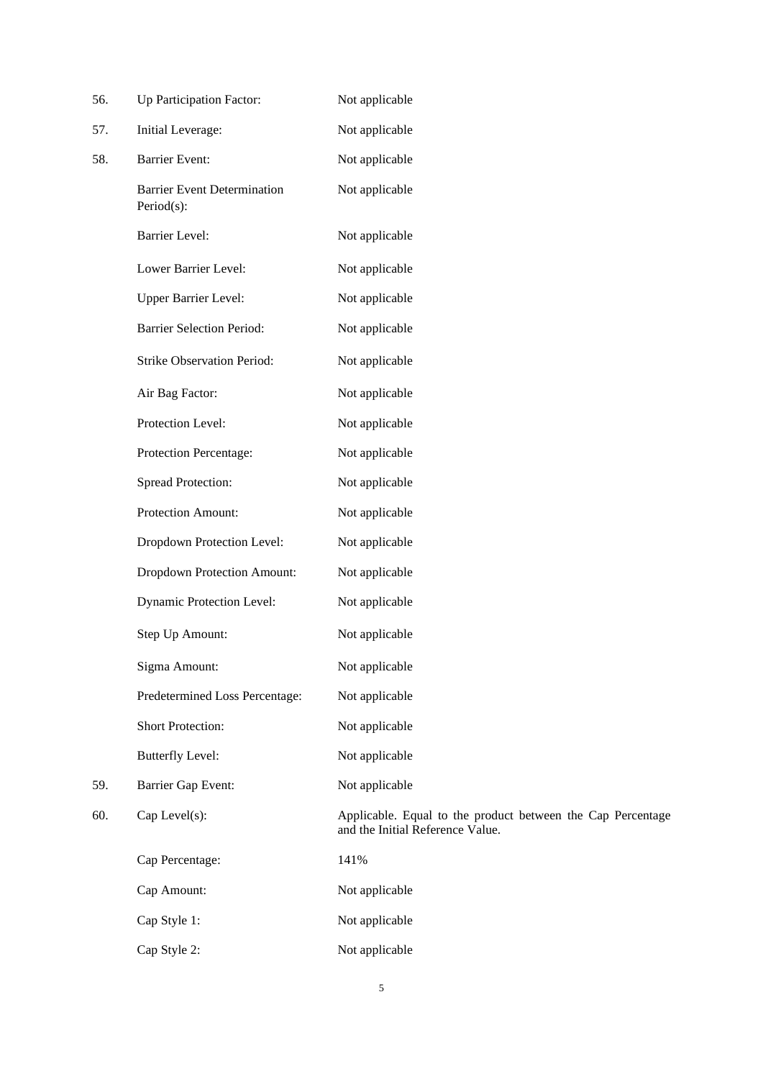| 56. | Up Participation Factor:                         | Not applicable                                                                                  |
|-----|--------------------------------------------------|-------------------------------------------------------------------------------------------------|
| 57. | Initial Leverage:                                | Not applicable                                                                                  |
| 58. | <b>Barrier Event:</b>                            | Not applicable                                                                                  |
|     | <b>Barrier Event Determination</b><br>Period(s): | Not applicable                                                                                  |
|     | <b>Barrier Level:</b>                            | Not applicable                                                                                  |
|     | Lower Barrier Level:                             | Not applicable                                                                                  |
|     | Upper Barrier Level:                             | Not applicable                                                                                  |
|     | <b>Barrier Selection Period:</b>                 | Not applicable                                                                                  |
|     | Strike Observation Period:                       | Not applicable                                                                                  |
|     | Air Bag Factor:                                  | Not applicable                                                                                  |
|     | Protection Level:                                | Not applicable                                                                                  |
|     | Protection Percentage:                           | Not applicable                                                                                  |
|     | <b>Spread Protection:</b>                        | Not applicable                                                                                  |
|     | Protection Amount:                               | Not applicable                                                                                  |
|     | Dropdown Protection Level:                       | Not applicable                                                                                  |
|     | Dropdown Protection Amount:                      | Not applicable                                                                                  |
|     | <b>Dynamic Protection Level:</b>                 | Not applicable                                                                                  |
|     | Step Up Amount:                                  | Not applicable                                                                                  |
|     | Sigma Amount:                                    | Not applicable                                                                                  |
|     | Predetermined Loss Percentage:                   | Not applicable                                                                                  |
|     | Short Protection:                                | Not applicable                                                                                  |
|     | <b>Butterfly Level:</b>                          | Not applicable                                                                                  |
| 59. | Barrier Gap Event:                               | Not applicable                                                                                  |
| 60. | Cap Level(s):                                    | Applicable. Equal to the product between the Cap Percentage<br>and the Initial Reference Value. |
|     | Cap Percentage:                                  | 141%                                                                                            |
|     | Cap Amount:                                      | Not applicable                                                                                  |
|     | Cap Style 1:                                     | Not applicable                                                                                  |
|     | Cap Style 2:                                     | Not applicable                                                                                  |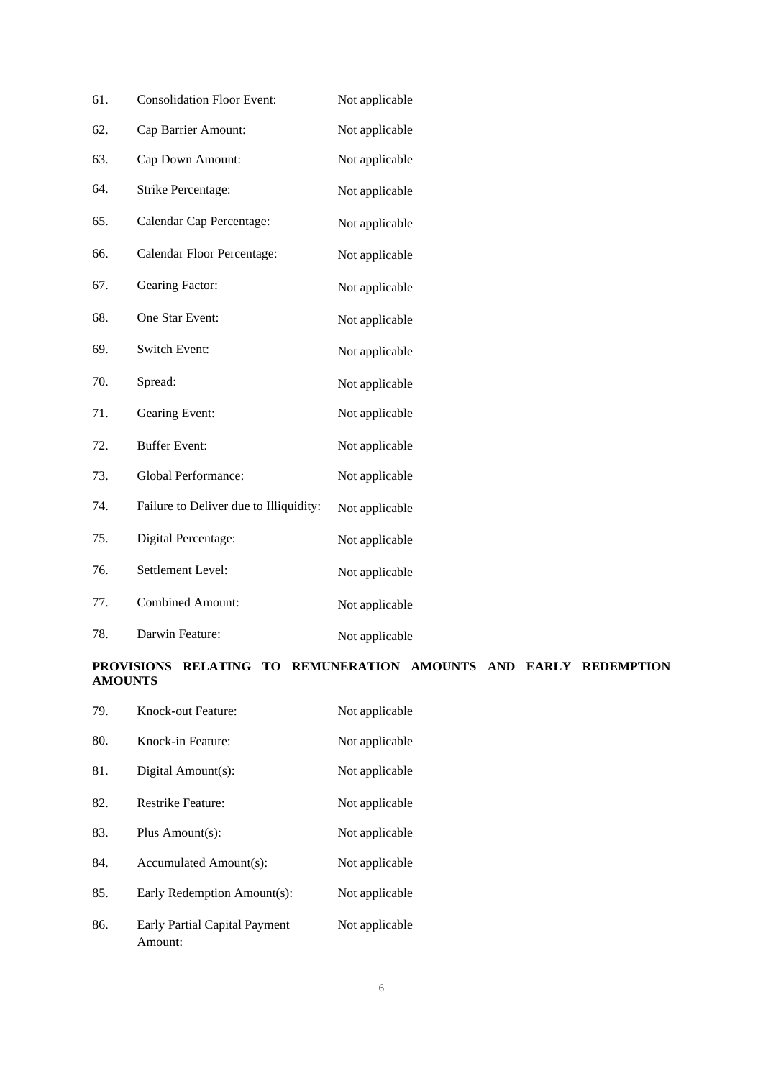| 61. | <b>Consolidation Floor Event:</b>      | Not applicable |
|-----|----------------------------------------|----------------|
| 62. | Cap Barrier Amount:                    | Not applicable |
| 63. | Cap Down Amount:                       | Not applicable |
| 64. | Strike Percentage:                     | Not applicable |
| 65. | Calendar Cap Percentage:               | Not applicable |
| 66. | Calendar Floor Percentage:             | Not applicable |
| 67. | Gearing Factor:                        | Not applicable |
| 68. | One Star Event:                        | Not applicable |
| 69. | Switch Event:                          | Not applicable |
| 70. | Spread:                                | Not applicable |
| 71. | Gearing Event:                         | Not applicable |
| 72. | <b>Buffer Event:</b>                   | Not applicable |
| 73. | Global Performance:                    | Not applicable |
| 74. | Failure to Deliver due to Illiquidity: | Not applicable |
| 75. | Digital Percentage:                    | Not applicable |
| 76. | Settlement Level:                      | Not applicable |
| 77. | <b>Combined Amount:</b>                | Not applicable |
| 78. | Darwin Feature:                        | Not applicable |

# **PROVISIONS RELATING TO REMUNERATION AMOUNTS AND EARLY REDEMPTION AMOUNTS**

| 79. | Knock-out Feature:                       | Not applicable |
|-----|------------------------------------------|----------------|
| 80. | Knock-in Feature:                        | Not applicable |
| 81. | Digital Amount(s):                       | Not applicable |
| 82. | <b>Restrike Feature:</b>                 | Not applicable |
| 83. | Plus Amount(s):                          | Not applicable |
| 84. | Accumulated Amount(s):                   | Not applicable |
| 85. | Early Redemption Amount(s):              | Not applicable |
| 86. | Early Partial Capital Payment<br>Amount: | Not applicable |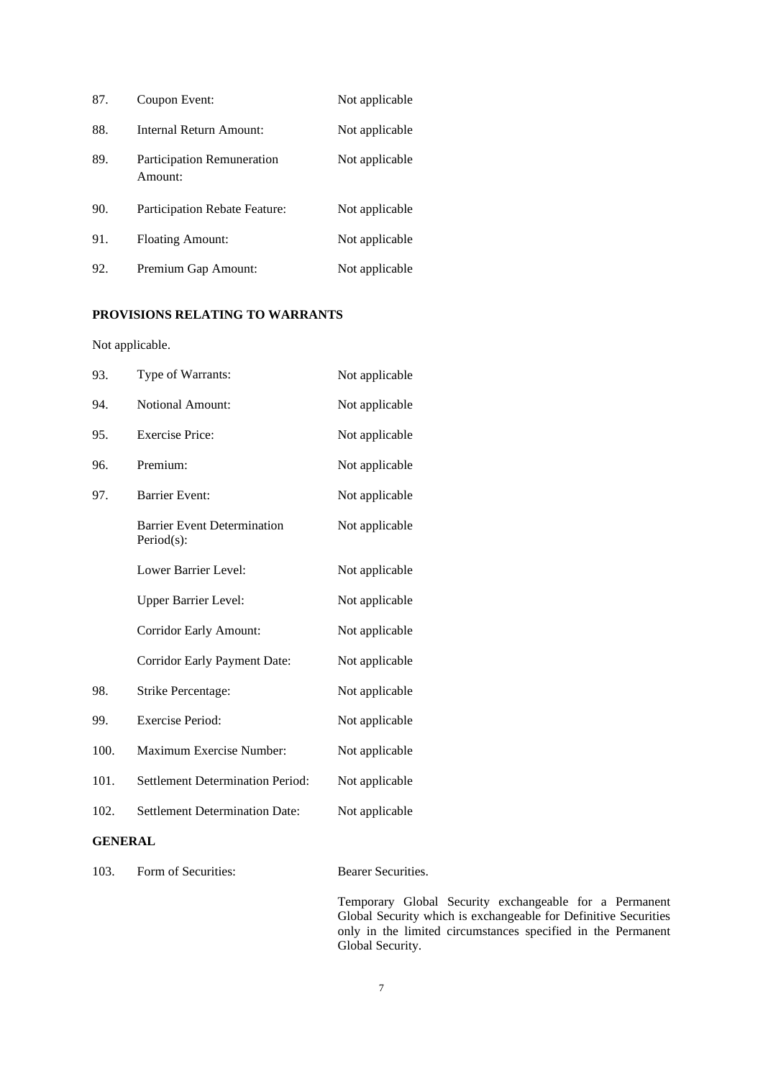| 87. | Coupon Event:                         | Not applicable |
|-----|---------------------------------------|----------------|
| 88. | Internal Return Amount:               | Not applicable |
| 89. | Participation Remuneration<br>Amount: | Not applicable |
| 90. | Participation Rebate Feature:         | Not applicable |
| 91. | <b>Floating Amount:</b>               | Not applicable |
| 92. | Premium Gap Amount:                   | Not applicable |

## **PROVISIONS RELATING TO WARRANTS**

Not applicable.

| Type of Warrants:                                | Not applicable |
|--------------------------------------------------|----------------|
| <b>Notional Amount:</b>                          | Not applicable |
| <b>Exercise Price:</b>                           | Not applicable |
| Premium:                                         | Not applicable |
| <b>Barrier Event:</b>                            | Not applicable |
| <b>Barrier Event Determination</b><br>Period(s): | Not applicable |
| Lower Barrier Level:                             | Not applicable |
| <b>Upper Barrier Level:</b>                      | Not applicable |
| <b>Corridor Early Amount:</b>                    | Not applicable |
| <b>Corridor Early Payment Date:</b>              | Not applicable |
| Strike Percentage:                               | Not applicable |
| <b>Exercise Period:</b>                          | Not applicable |
| Maximum Exercise Number:                         | Not applicable |
| <b>Settlement Determination Period:</b>          | Not applicable |
| <b>Settlement Determination Date:</b>            | Not applicable |
| <b>GENERAL</b>                                   |                |
|                                                  |                |

103. Form of Securities: Bearer Securities.

Temporary Global Security exchangeable for a Permanent Global Security which is exchangeable for Definitive Securities only in the limited circumstances specified in the Permanent Global Security.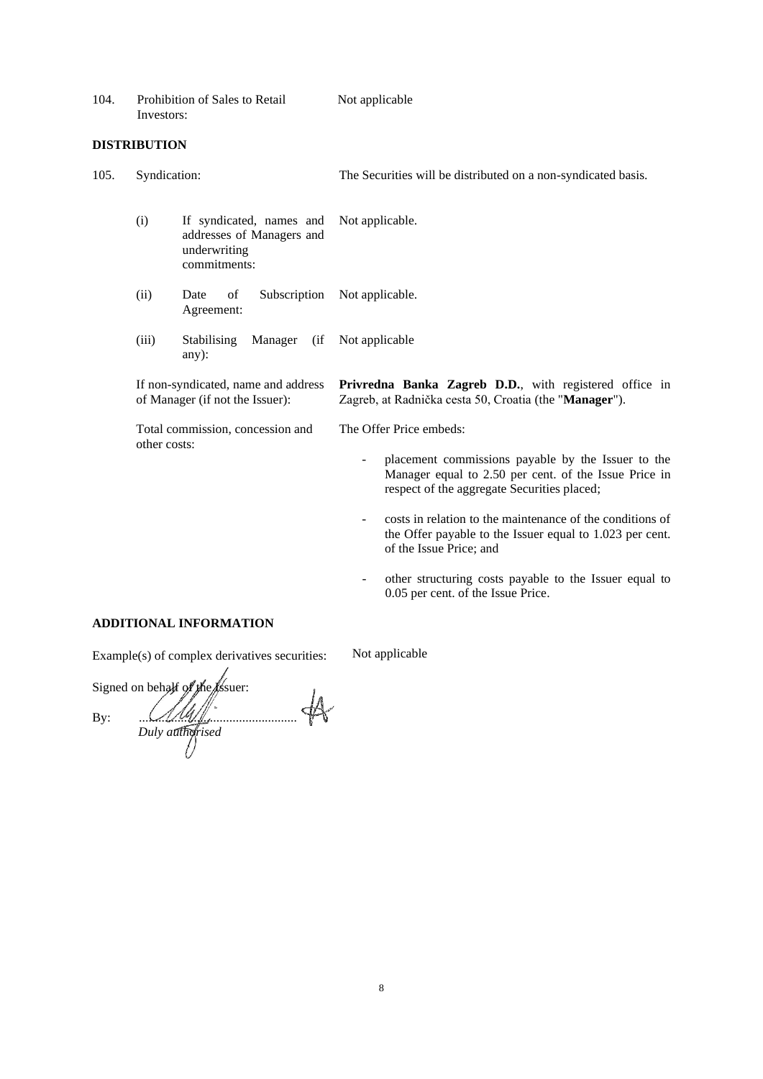| 104. | Prohibition of Sales to Retail | Not applicable |
|------|--------------------------------|----------------|
|      | Investors:                     |                |

### **DISTRIBUTION**

| 105. | Syndication:                                                                                                               |                                                                                       | The Securities will be distributed on a non-syndicated basis.                                                                                              |
|------|----------------------------------------------------------------------------------------------------------------------------|---------------------------------------------------------------------------------------|------------------------------------------------------------------------------------------------------------------------------------------------------------|
|      | (i)                                                                                                                        | If syndicated, names and<br>addresses of Managers and<br>underwriting<br>commitments: | Not applicable.                                                                                                                                            |
|      | (ii)                                                                                                                       | of<br>Subscription<br>Date<br>Agreement:                                              | Not applicable.                                                                                                                                            |
|      | (iii)                                                                                                                      | <b>Stabilising</b><br>Manager<br>(ii<br>any):                                         | Not applicable                                                                                                                                             |
|      | If non-syndicated, name and address<br>of Manager (if not the Issuer):<br>Total commission, concession and<br>other costs: |                                                                                       | <b>Privredna Banka Zagreb D.D.</b> , with registered office in<br>Zagreb, at Radnička cesta 50, Croatia (the "Manager").                                   |
|      |                                                                                                                            |                                                                                       | The Offer Price embeds:                                                                                                                                    |
|      |                                                                                                                            |                                                                                       | placement commissions payable by the Issuer to the<br>Manager equal to 2.50 per cent. of the Issue Price in<br>respect of the aggregate Securities placed; |
|      |                                                                                                                            |                                                                                       | costs in relation to the maintenance of the conditions of<br>$\sim$<br>the Offer payable to the Issuer equal to 1.023 per cent.<br>of the Issue Price; and |
|      |                                                                                                                            |                                                                                       | other structuring costs payable to the Issuer equal to<br>0.05 per cent. of the Issue Price.                                                               |

## **ADDITIONAL INFORMATION**

| Example(s) of complex derivatives securities: | Not applicable |
|-----------------------------------------------|----------------|
|                                               |                |

Signed on behalf of the Assuer: By:  $\mathcal{U}\mathcal{U}\mathcal{U}$ *Duly authorised*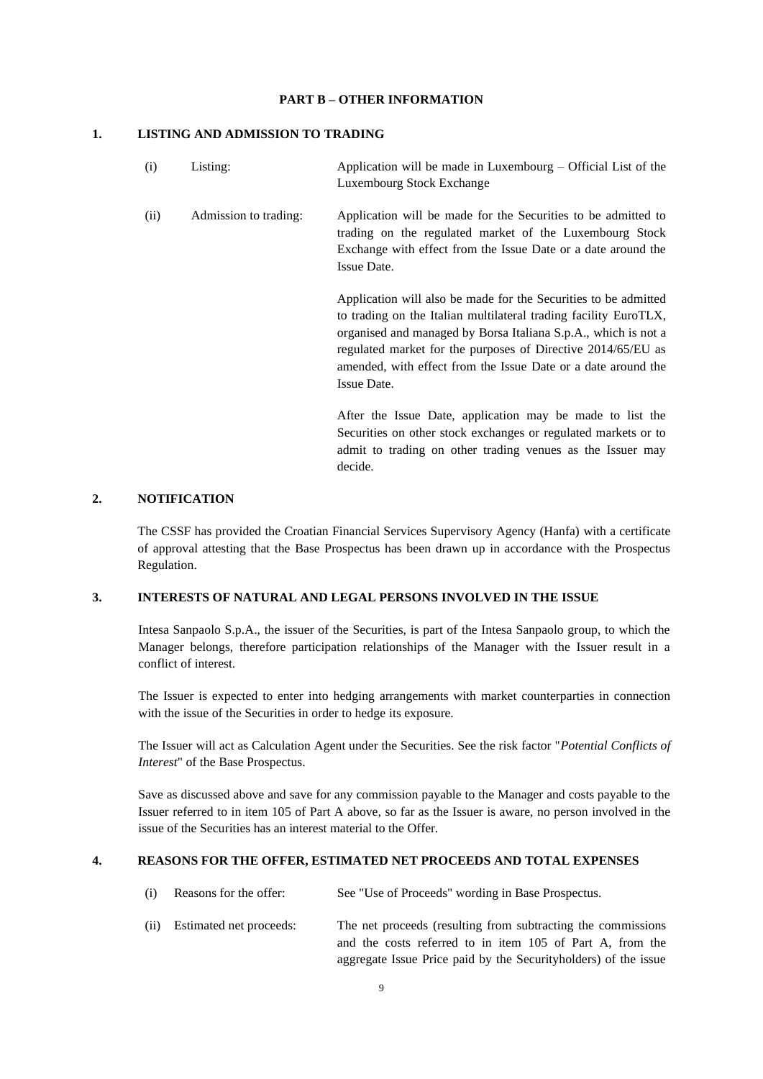#### **PART B – OTHER INFORMATION**

### **1. LISTING AND ADMISSION TO TRADING**

| (i)  | Listing:              | Application will be made in Luxembourg $-$ Official List of the<br>Luxembourg Stock Exchange                                                                                                                                                                                                                                                          |
|------|-----------------------|-------------------------------------------------------------------------------------------------------------------------------------------------------------------------------------------------------------------------------------------------------------------------------------------------------------------------------------------------------|
| (ii) | Admission to trading: | Application will be made for the Securities to be admitted to<br>trading on the regulated market of the Luxembourg Stock<br>Exchange with effect from the Issue Date or a date around the<br>Issue Date.                                                                                                                                              |
|      |                       | Application will also be made for the Securities to be admitted<br>to trading on the Italian multilateral trading facility EuroTLX,<br>organised and managed by Borsa Italiana S.p.A., which is not a<br>regulated market for the purposes of Directive 2014/65/EU as<br>amended, with effect from the Issue Date or a date around the<br>Issue Date. |
|      |                       |                                                                                                                                                                                                                                                                                                                                                       |

After the Issue Date, application may be made to list the Securities on other stock exchanges or regulated markets or to admit to trading on other trading venues as the Issuer may decide.

### **2. NOTIFICATION**

The CSSF has provided the Croatian Financial Services Supervisory Agency (Hanfa) with a certificate of approval attesting that the Base Prospectus has been drawn up in accordance with the Prospectus Regulation.

#### **3. INTERESTS OF NATURAL AND LEGAL PERSONS INVOLVED IN THE ISSUE**

Intesa Sanpaolo S.p.A., the issuer of the Securities, is part of the Intesa Sanpaolo group, to which the Manager belongs, therefore participation relationships of the Manager with the Issuer result in a conflict of interest.

The Issuer is expected to enter into hedging arrangements with market counterparties in connection with the issue of the Securities in order to hedge its exposure.

The Issuer will act as Calculation Agent under the Securities. See the risk factor "*Potential Conflicts of Interest*" of the Base Prospectus.

Save as discussed above and save for any commission payable to the Manager and costs payable to the Issuer referred to in item 105 of Part A above, so far as the Issuer is aware, no person involved in the issue of the Securities has an interest material to the Offer.

### **4. REASONS FOR THE OFFER, ESTIMATED NET PROCEEDS AND TOTAL EXPENSES**

- (i) Reasons for the offer: See "Use of Proceeds" wording in Base Prospectus.
- (ii) Estimated net proceeds: The net proceeds (resulting from subtracting the commissions and the costs referred to in item 105 of Part A, from the aggregate Issue Price paid by the Securityholders) of the issue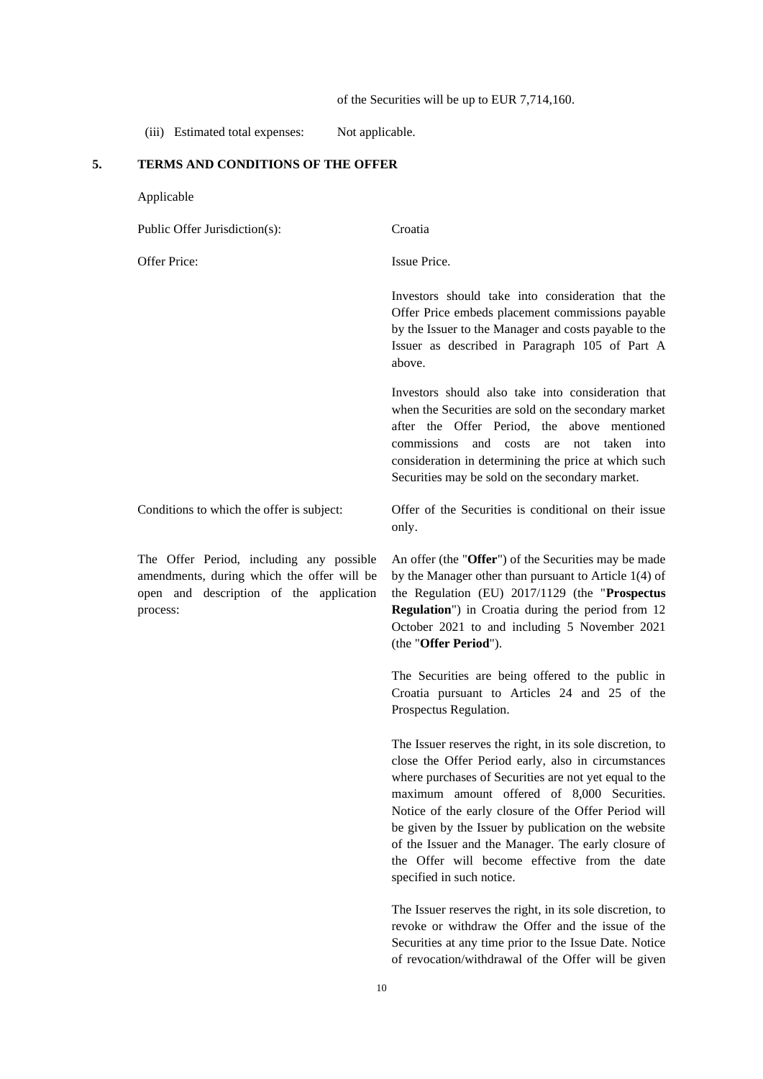of the Securities will be up to EUR 7,714,160.

(iii) Estimated total expenses: Not applicable.

# **5. TERMS AND CONDITIONS OF THE OFFER**

| Applicable                                                                                                                                    |                                                                                                                                                                                                                                                                                                                                                                                                                                                                                |
|-----------------------------------------------------------------------------------------------------------------------------------------------|--------------------------------------------------------------------------------------------------------------------------------------------------------------------------------------------------------------------------------------------------------------------------------------------------------------------------------------------------------------------------------------------------------------------------------------------------------------------------------|
| Public Offer Jurisdiction(s):                                                                                                                 | Croatia                                                                                                                                                                                                                                                                                                                                                                                                                                                                        |
| Offer Price:                                                                                                                                  | Issue Price.                                                                                                                                                                                                                                                                                                                                                                                                                                                                   |
|                                                                                                                                               | Investors should take into consideration that the<br>Offer Price embeds placement commissions payable<br>by the Issuer to the Manager and costs payable to the<br>Issuer as described in Paragraph 105 of Part A<br>above.                                                                                                                                                                                                                                                     |
|                                                                                                                                               | Investors should also take into consideration that<br>when the Securities are sold on the secondary market<br>after the Offer Period, the above mentioned<br>and costs<br>commissions<br>taken<br>not<br>are<br>into<br>consideration in determining the price at which such<br>Securities may be sold on the secondary market.                                                                                                                                                |
| Conditions to which the offer is subject:                                                                                                     | Offer of the Securities is conditional on their issue<br>only.                                                                                                                                                                                                                                                                                                                                                                                                                 |
| The Offer Period, including any possible<br>amendments, during which the offer will be<br>open and description of the application<br>process: | An offer (the "Offer") of the Securities may be made<br>by the Manager other than pursuant to Article 1(4) of<br>the Regulation (EU) 2017/1129 (the "Prospectus<br>Regulation") in Croatia during the period from 12<br>October 2021 to and including 5 November 2021<br>(the "Offer Period").                                                                                                                                                                                 |
|                                                                                                                                               | The Securities are being offered to the public in<br>Croatia pursuant to Articles 24 and 25 of the<br>Prospectus Regulation.                                                                                                                                                                                                                                                                                                                                                   |
|                                                                                                                                               | The Issuer reserves the right, in its sole discretion, to<br>close the Offer Period early, also in circumstances<br>where purchases of Securities are not yet equal to the<br>maximum amount offered of 8,000 Securities.<br>Notice of the early closure of the Offer Period will<br>be given by the Issuer by publication on the website<br>of the Issuer and the Manager. The early closure of<br>the Offer will become effective from the date<br>specified in such notice. |
|                                                                                                                                               | The Issuer reserves the right, in its sole discretion, to<br>revoke or withdraw the Offer and the issue of the<br>Securities at any time prior to the Issue Date. Notice<br>of revocation/withdrawal of the Offer will be given                                                                                                                                                                                                                                                |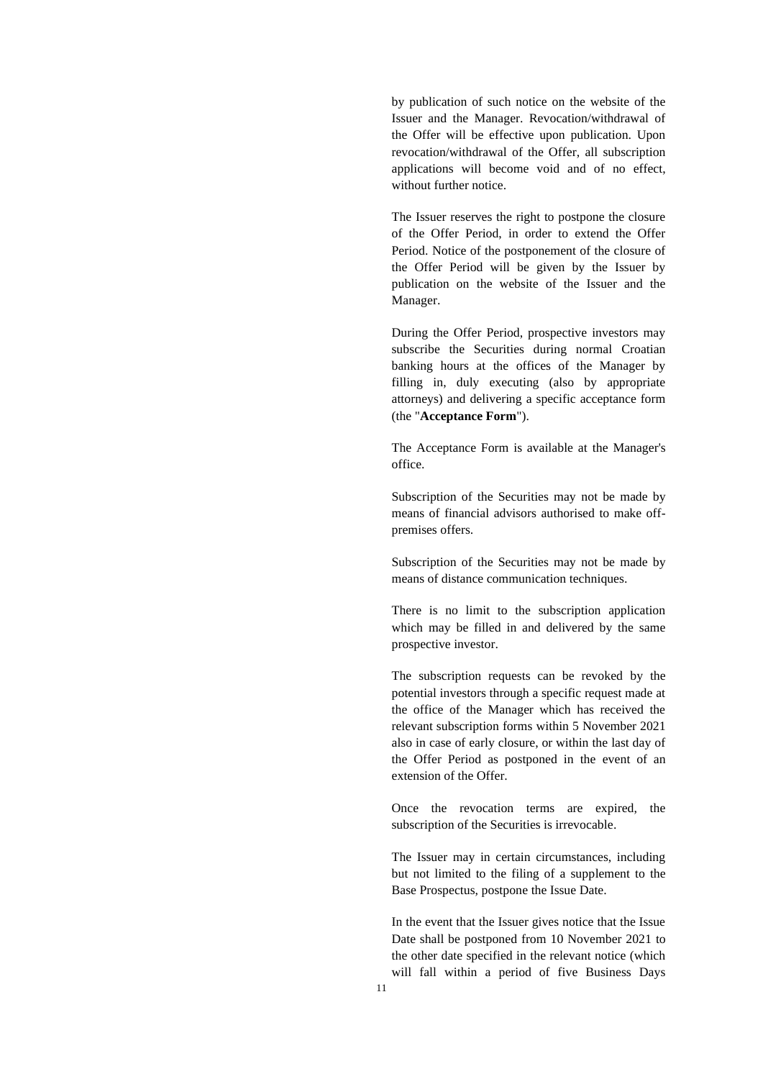by publication of such notice on the website of the Issuer and the Manager. Revocation/withdrawal of the Offer will be effective upon publication. Upon revocation/withdrawal of the Offer, all subscription applications will become void and of no effect, without further notice.

The Issuer reserves the right to postpone the closure of the Offer Period, in order to extend the Offer Period. Notice of the postponement of the closure of the Offer Period will be given by the Issuer by publication on the website of the Issuer and the Manager.

During the Offer Period, prospective investors may subscribe the Securities during normal Croatian banking hours at the offices of the Manager by filling in, duly executing (also by appropriate attorneys) and delivering a specific acceptance form (the "**Acceptance Form**").

The Acceptance Form is available at the Manager's office.

Subscription of the Securities may not be made by means of financial advisors authorised to make offpremises offers.

Subscription of the Securities may not be made by means of distance communication techniques.

There is no limit to the subscription application which may be filled in and delivered by the same prospective investor.

The subscription requests can be revoked by the potential investors through a specific request made at the office of the Manager which has received the relevant subscription forms within 5 November 2021 also in case of early closure, or within the last day of the Offer Period as postponed in the event of an extension of the Offer.

Once the revocation terms are expired, the subscription of the Securities is irrevocable.

The Issuer may in certain circumstances, including but not limited to the filing of a supplement to the Base Prospectus, postpone the Issue Date.

In the event that the Issuer gives notice that the Issue Date shall be postponed from 10 November 2021 to the other date specified in the relevant notice (which will fall within a period of five Business Days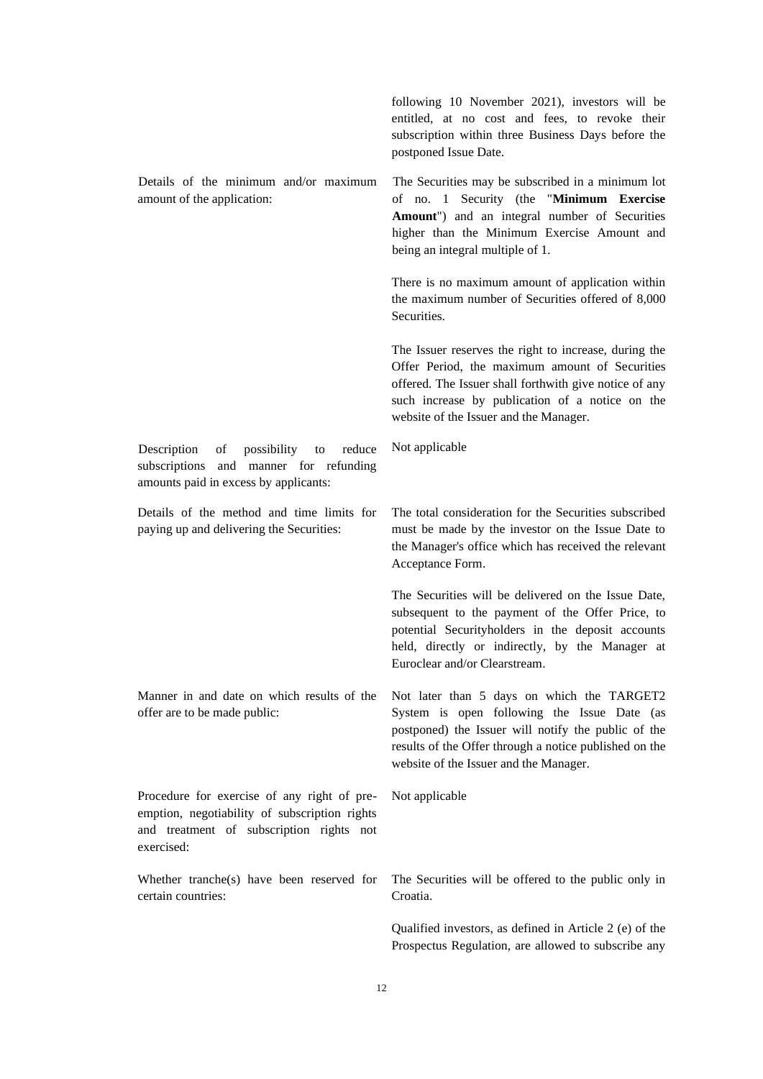following 10 November 2021), investors will be entitled, at no cost and fees, to revoke their subscription within three Business Days before the postponed Issue Date. Details of the minimum and/or maximum amount of the application: The Securities may be subscribed in a minimum lot of no. 1 Security (the "**Minimum Exercise Amount**") and an integral number of Securities higher than the Minimum Exercise Amount and being an integral multiple of 1. There is no maximum amount of application within the maximum number of Securities offered of 8,000 Securities. The Issuer reserves the right to increase, during the Offer Period, the maximum amount of Securities offered. The Issuer shall forthwith give notice of any such increase by publication of a notice on the website of the Issuer and the Manager. Description of possibility to reduce subscriptions and manner for refunding amounts paid in excess by applicants: Not applicable Details of the method and time limits for paying up and delivering the Securities: The total consideration for the Securities subscribed must be made by the investor on the Issue Date to the Manager's office which has received the relevant Acceptance Form. The Securities will be delivered on the Issue Date, subsequent to the payment of the Offer Price, to potential Securityholders in the deposit accounts held, directly or indirectly, by the Manager at Euroclear and/or Clearstream. Manner in and date on which results of the offer are to be made public: Not later than 5 days on which the TARGET2 System is open following the Issue Date (as postponed) the Issuer will notify the public of the results of the Offer through a notice published on the website of the Issuer and the Manager. Procedure for exercise of any right of preemption, negotiability of subscription rights and treatment of subscription rights not exercised: Not applicable Whether tranche(s) have been reserved for certain countries: The Securities will be offered to the public only in Croatia. Qualified investors, as defined in Article 2 (e) of the Prospectus Regulation, are allowed to subscribe any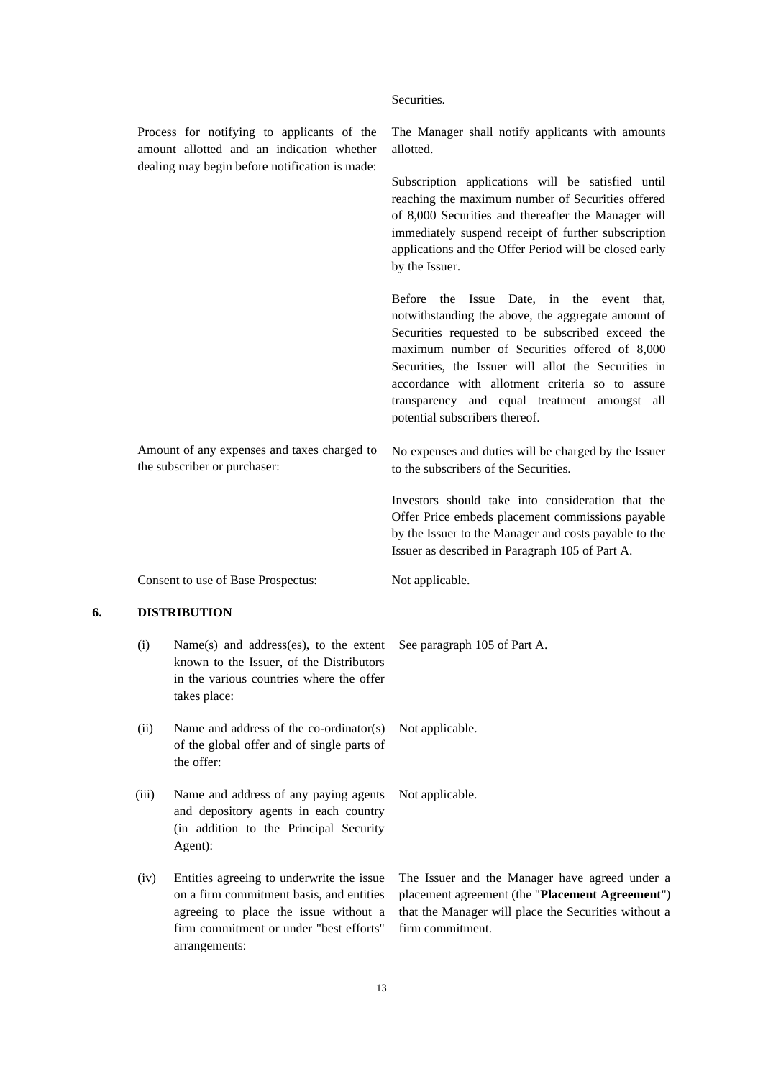|    |                                                                                                                                           |                                                                                                                                                       | Securities.                                                                                                                                                                                                                                                                                                                                                                                                   |
|----|-------------------------------------------------------------------------------------------------------------------------------------------|-------------------------------------------------------------------------------------------------------------------------------------------------------|---------------------------------------------------------------------------------------------------------------------------------------------------------------------------------------------------------------------------------------------------------------------------------------------------------------------------------------------------------------------------------------------------------------|
|    | Process for notifying to applicants of the<br>amount allotted and an indication whether<br>dealing may begin before notification is made: |                                                                                                                                                       | The Manager shall notify applicants with amounts<br>allotted.                                                                                                                                                                                                                                                                                                                                                 |
|    |                                                                                                                                           |                                                                                                                                                       | Subscription applications will be satisfied until<br>reaching the maximum number of Securities offered<br>of 8,000 Securities and thereafter the Manager will<br>immediately suspend receipt of further subscription<br>applications and the Offer Period will be closed early<br>by the Issuer.                                                                                                              |
|    |                                                                                                                                           |                                                                                                                                                       | <b>Before</b><br>the Issue Date, in the event<br>that,<br>notwithstanding the above, the aggregate amount of<br>Securities requested to be subscribed exceed the<br>maximum number of Securities offered of 8,000<br>Securities, the Issuer will allot the Securities in<br>accordance with allotment criteria so to assure<br>transparency and equal treatment amongst all<br>potential subscribers thereof. |
|    | Amount of any expenses and taxes charged to<br>the subscriber or purchaser:                                                               |                                                                                                                                                       | No expenses and duties will be charged by the Issuer<br>to the subscribers of the Securities.                                                                                                                                                                                                                                                                                                                 |
|    |                                                                                                                                           |                                                                                                                                                       | Investors should take into consideration that the<br>Offer Price embeds placement commissions payable<br>by the Issuer to the Manager and costs payable to the<br>Issuer as described in Paragraph 105 of Part A.                                                                                                                                                                                             |
|    |                                                                                                                                           | Consent to use of Base Prospectus:                                                                                                                    | Not applicable.                                                                                                                                                                                                                                                                                                                                                                                               |
| 6. | <b>DISTRIBUTION</b>                                                                                                                       |                                                                                                                                                       |                                                                                                                                                                                                                                                                                                                                                                                                               |
|    | (i)                                                                                                                                       | Name $(s)$ and address $(es)$ , to the extent<br>known to the Issuer, of the Distributors<br>in the various countries where the offer<br>takes place: | See paragraph 105 of Part A.                                                                                                                                                                                                                                                                                                                                                                                  |
|    | (ii)                                                                                                                                      | Name and address of the co-ordinator(s)<br>of the global offer and of single parts of<br>the offer:                                                   | Not applicable.                                                                                                                                                                                                                                                                                                                                                                                               |

- (iii) Name and address of any paying agents and depository agents in each country (in addition to the Principal Security Agent):
- (iv) Entities agreeing to underwrite the issue on a firm commitment basis, and entities agreeing to place the issue without a firm commitment or under "best efforts" arrangements:

The Issuer and the Manager have agreed under a placement agreement (the "**Placement Agreement**") that the Manager will place the Securities without a firm commitment.

Not applicable.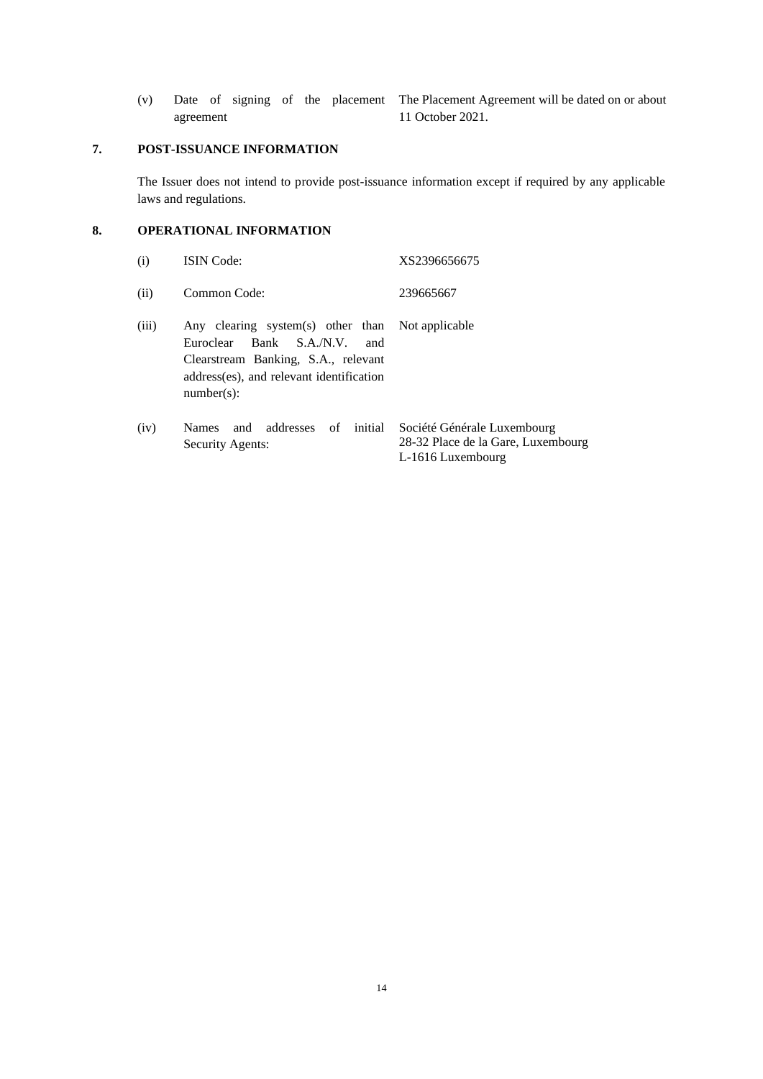agreement

(v) Date of signing of the placement The Placement Agreement will be dated on or about 11 October 2021.

## **7. POST-ISSUANCE INFORMATION**

The Issuer does not intend to provide post-issuance information except if required by any applicable laws and regulations.

### **8. OPERATIONAL INFORMATION**

| (i)   | <b>ISIN</b> Code:                                                                                                                                                                          | XS2396656675                                                                           |
|-------|--------------------------------------------------------------------------------------------------------------------------------------------------------------------------------------------|----------------------------------------------------------------------------------------|
| (ii)  | Common Code:                                                                                                                                                                               | 239665667                                                                              |
| (iii) | Any clearing system(s) other than Not applicable<br>Bank S.A./N.V.<br>Euroclear<br>and<br>Clearstream Banking, S.A., relevant<br>address(es), and relevant identification<br>$number(s)$ : |                                                                                        |
| (iv)  | and addresses of<br>initial<br><b>Names</b><br>Security Agents:                                                                                                                            | Société Générale Luxembourg<br>28-32 Place de la Gare, Luxembourg<br>L-1616 Luxembourg |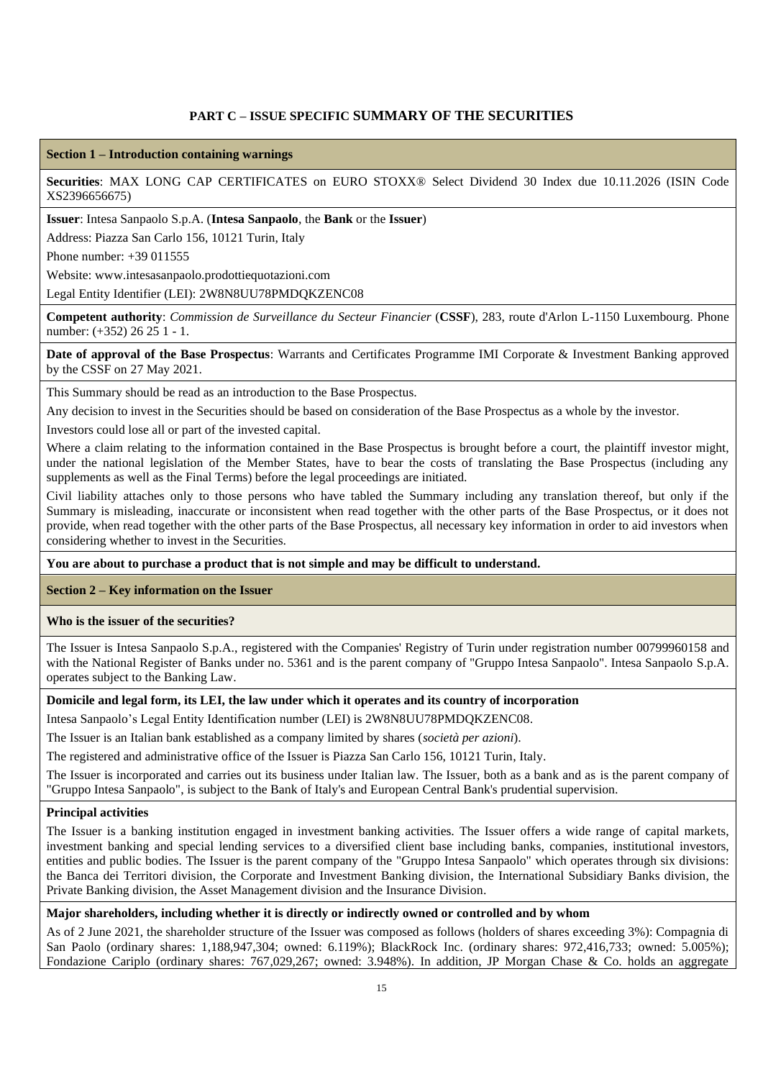## **PART C – ISSUE SPECIFIC SUMMARY OF THE SECURITIES**

#### **Section 1 – Introduction containing warnings**

**Securities**: MAX LONG CAP CERTIFICATES on EURO STOXX® Select Dividend 30 Index due 10.11.2026 (ISIN Code XS2396656675)

**Issuer**: Intesa Sanpaolo S.p.A. (**Intesa Sanpaolo**, the **Bank** or the **Issuer**)

Address: Piazza San Carlo 156, 10121 Turin, Italy

Phone number: +39 011555

Website: www.intesasanpaolo.prodottiequotazioni.com

Legal Entity Identifier (LEI): 2W8N8UU78PMDQKZENC08

**Competent authority**: *Commission de Surveillance du Secteur Financier* (**CSSF**), 283, route d'Arlon L-1150 Luxembourg. Phone number: (+352) 26 25 1 - 1.

### **Date of approval of the Base Prospectus**: Warrants and Certificates Programme IMI Corporate & Investment Banking approved by the CSSF on 27 May 2021.

This Summary should be read as an introduction to the Base Prospectus.

Any decision to invest in the Securities should be based on consideration of the Base Prospectus as a whole by the investor.

Investors could lose all or part of the invested capital.

Where a claim relating to the information contained in the Base Prospectus is brought before a court, the plaintiff investor might, under the national legislation of the Member States, have to bear the costs of translating the Base Prospectus (including any supplements as well as the Final Terms) before the legal proceedings are initiated.

Civil liability attaches only to those persons who have tabled the Summary including any translation thereof, but only if the Summary is misleading, inaccurate or inconsistent when read together with the other parts of the Base Prospectus, or it does not provide, when read together with the other parts of the Base Prospectus, all necessary key information in order to aid investors when considering whether to invest in the Securities.

**You are about to purchase a product that is not simple and may be difficult to understand.**

**Section 2 – Key information on the Issuer**

#### **Who is the issuer of the securities?**

The Issuer is Intesa Sanpaolo S.p.A., registered with the Companies' Registry of Turin under registration number 00799960158 and with the National Register of Banks under no. 5361 and is the parent company of "Gruppo Intesa Sanpaolo". Intesa Sanpaolo S.p.A. operates subject to the Banking Law.

#### **Domicile and legal form, its LEI, the law under which it operates and its country of incorporation**

Intesa Sanpaolo's Legal Entity Identification number (LEI) is 2W8N8UU78PMDQKZENC08.

The Issuer is an Italian bank established as a company limited by shares (*società per azioni*).

The registered and administrative office of the Issuer is Piazza San Carlo 156, 10121 Turin, Italy.

The Issuer is incorporated and carries out its business under Italian law. The Issuer, both as a bank and as is the parent company of "Gruppo Intesa Sanpaolo", is subject to the Bank of Italy's and European Central Bank's prudential supervision.

#### **Principal activities**

The Issuer is a banking institution engaged in investment banking activities. The Issuer offers a wide range of capital markets, investment banking and special lending services to a diversified client base including banks, companies, institutional investors, entities and public bodies. The Issuer is the parent company of the "Gruppo Intesa Sanpaolo" which operates through six divisions: the Banca dei Territori division, the Corporate and Investment Banking division, the International Subsidiary Banks division, the Private Banking division, the Asset Management division and the Insurance Division.

#### **Major shareholders, including whether it is directly or indirectly owned or controlled and by whom**

As of 2 June 2021, the shareholder structure of the Issuer was composed as follows (holders of shares exceeding 3%): Compagnia di San Paolo (ordinary shares: 1,188,947,304; owned: 6.119%); BlackRock Inc. (ordinary shares: 972,416,733; owned: 5.005%); Fondazione Cariplo (ordinary shares: 767,029,267; owned: 3.948%). In addition, JP Morgan Chase & Co. holds an aggregate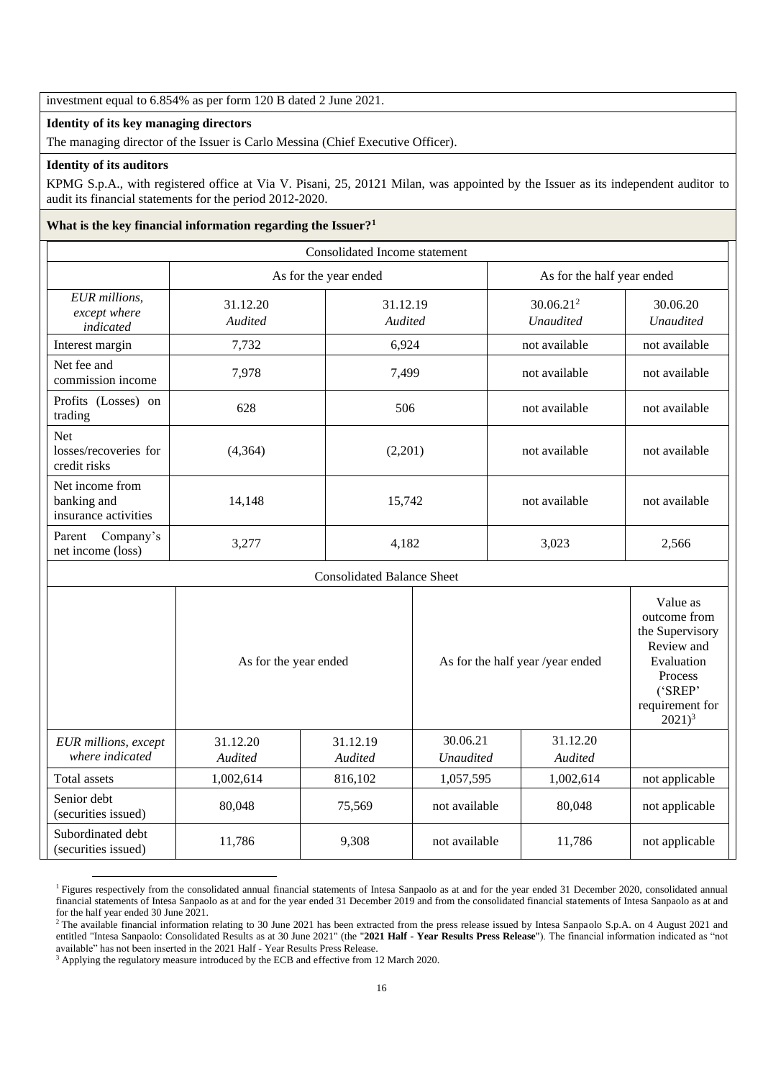investment equal to 6.854% as per form 120 B dated 2 June 2021.

### **Identity of its key managing directors**

The managing director of the Issuer is Carlo Messina (Chief Executive Officer).

### **Identity of its auditors**

KPMG S.p.A., with registered office at Via V. Pisani, 25, 20121 Milan, was appointed by the Issuer as its independent auditor to audit its financial statements for the period 2012-2020.

### **What is the key financial information regarding the Issuer?<sup>1</sup>**

| Consolidated Income statement                          |                            |                       |                                  |                            |                                                                                                                               |                |                              |
|--------------------------------------------------------|----------------------------|-----------------------|----------------------------------|----------------------------|-------------------------------------------------------------------------------------------------------------------------------|----------------|------------------------------|
|                                                        |                            | As for the year ended |                                  | As for the half year ended |                                                                                                                               |                |                              |
| EUR millions,<br>except where<br>indicated             | 31.12.20<br>Audited        |                       | 31.12.19<br>Audited              |                            | 30.06.21 <sup>2</sup><br><b>Unaudited</b>                                                                                     |                | 30.06.20<br><b>Unaudited</b> |
| Interest margin                                        | 7,732                      | 6,924                 |                                  | not available              |                                                                                                                               | not available  |                              |
| Net fee and<br>commission income                       | 7,978                      | 7,499                 |                                  | not available              |                                                                                                                               | not available  |                              |
| Profits (Losses) on<br>trading                         | 628                        |                       | 506                              |                            | not available                                                                                                                 | not available  |                              |
| Net<br>losses/recoveries for<br>credit risks           | (4,364)                    |                       | (2,201)                          |                            | not available                                                                                                                 | not available  |                              |
| Net income from<br>banking and<br>insurance activities | 14,148                     |                       | 15,742                           |                            | not available                                                                                                                 | not available  |                              |
| Parent Company's<br>net income (loss)                  | 3,277                      |                       | 4,182                            |                            | 3,023                                                                                                                         | 2,566          |                              |
| <b>Consolidated Balance Sheet</b>                      |                            |                       |                                  |                            |                                                                                                                               |                |                              |
|                                                        | As for the year ended      |                       | As for the half year /year ended |                            | Value as<br>outcome from<br>the Supervisory<br>Review and<br>Evaluation<br>Process<br>('SREP'<br>requirement for<br>$2021)^3$ |                |                              |
| EUR millions, except<br>where indicated                | 31.12.20<br><b>Audited</b> | 31.12.19<br>Audited   | 30.06.21<br><b>Unaudited</b>     |                            | 31.12.20<br>Audited                                                                                                           |                |                              |
| <b>Total assets</b>                                    | 1,002,614                  | 816,102               | 1,057,595                        |                            | 1,002,614                                                                                                                     | not applicable |                              |
| Senior debt<br>(securities issued)                     | 80,048                     | 75,569                | not available                    |                            | 80,048                                                                                                                        | not applicable |                              |
| Subordinated debt<br>(securities issued)               | 11,786                     | 9,308                 | not available                    |                            | 11,786                                                                                                                        | not applicable |                              |

<sup>&</sup>lt;sup>1</sup> Figures respectively from the consolidated annual financial statements of Intesa Sanpaolo as at and for the year ended 31 December 2020, consolidated annual financial statements of Intesa Sanpaolo as at and for the year ended 31 December 2019 and from the consolidated financial statements of Intesa Sanpaolo as at and for the half year ended 30 June 2021.

<sup>&</sup>lt;sup>2</sup> The available financial information relating to 30 June 2021 has been extracted from the press release issued by Intesa Sanpaolo S.p.A. on 4 August 2021 and entitled "Intesa Sanpaolo: Consolidated Results as at 30 June 2021" (the "**2021 Half - Year Results Press Release**"). The financial information indicated as "not available" has not been inserted in the 2021 Half - Year Results Press Release.

<sup>&</sup>lt;sup>3</sup> Applying the regulatory measure introduced by the ECB and effective from 12 March 2020.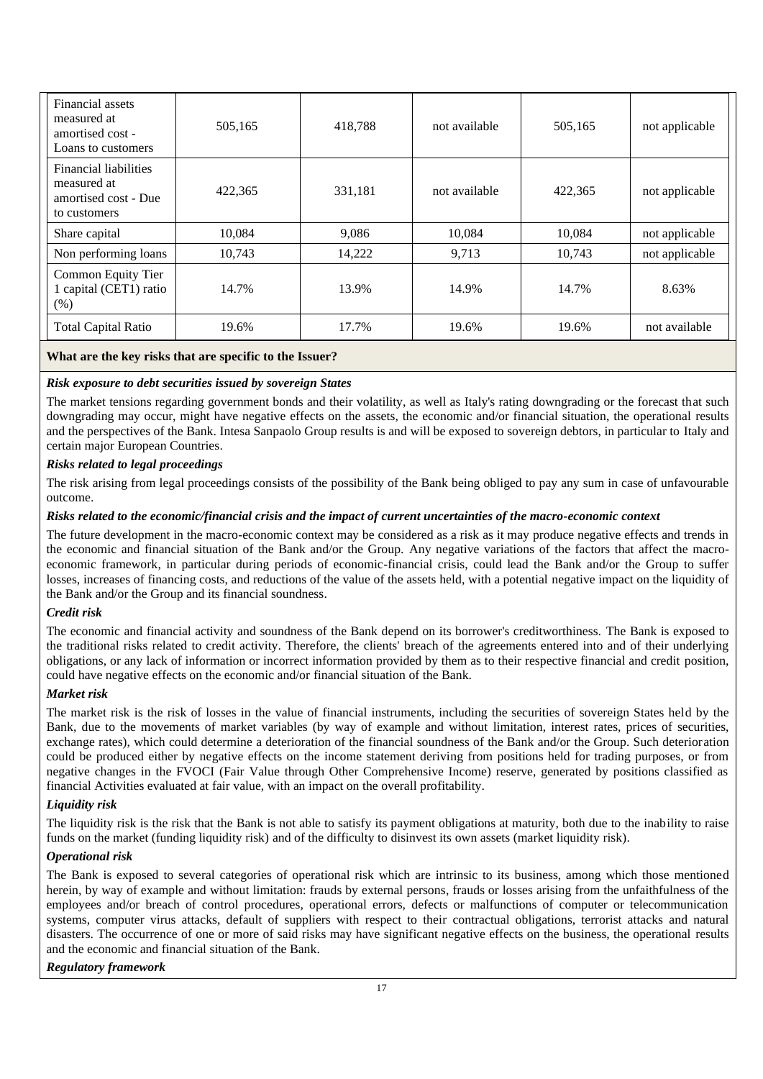| Financial assets<br>measured at<br>amortised cost -<br>Loans to customers           | 505,165 | 418,788 | not available | 505,165 | not applicable |
|-------------------------------------------------------------------------------------|---------|---------|---------------|---------|----------------|
| <b>Financial liabilities</b><br>measured at<br>amortised cost - Due<br>to customers | 422,365 | 331,181 | not available | 422,365 | not applicable |
| Share capital                                                                       | 10,084  | 9,086   | 10,084        | 10,084  | not applicable |
| Non performing loans                                                                | 10.743  | 14,222  | 9,713         | 10.743  | not applicable |
| Common Equity Tier<br>1 capital (CET1) ratio<br>(% )                                | 14.7%   | 13.9%   | 14.9%         | 14.7%   | 8.63%          |
| <b>Total Capital Ratio</b>                                                          | 19.6%   | 17.7%   | 19.6%         | 19.6%   | not available  |

## **What are the key risks that are specific to the Issuer?**

## *Risk exposure to debt securities issued by sovereign States*

The market tensions regarding government bonds and their volatility, as well as Italy's rating downgrading or the forecast that such downgrading may occur, might have negative effects on the assets, the economic and/or financial situation, the operational results and the perspectives of the Bank. Intesa Sanpaolo Group results is and will be exposed to sovereign debtors, in particular to Italy and certain major European Countries.

## *Risks related to legal proceedings*

The risk arising from legal proceedings consists of the possibility of the Bank being obliged to pay any sum in case of unfavourable outcome.

### *Risks related to the economic/financial crisis and the impact of current uncertainties of the macro-economic context*

The future development in the macro-economic context may be considered as a risk as it may produce negative effects and trends in the economic and financial situation of the Bank and/or the Group. Any negative variations of the factors that affect the macroeconomic framework, in particular during periods of economic-financial crisis, could lead the Bank and/or the Group to suffer losses, increases of financing costs, and reductions of the value of the assets held, with a potential negative impact on the liquidity of the Bank and/or the Group and its financial soundness.

### *Credit risk*

The economic and financial activity and soundness of the Bank depend on its borrower's creditworthiness. The Bank is exposed to the traditional risks related to credit activity. Therefore, the clients' breach of the agreements entered into and of their underlying obligations, or any lack of information or incorrect information provided by them as to their respective financial and credit position, could have negative effects on the economic and/or financial situation of the Bank.

### *Market risk*

The market risk is the risk of losses in the value of financial instruments, including the securities of sovereign States held by the Bank, due to the movements of market variables (by way of example and without limitation, interest rates, prices of securities, exchange rates), which could determine a deterioration of the financial soundness of the Bank and/or the Group. Such deterioration could be produced either by negative effects on the income statement deriving from positions held for trading purposes, or from negative changes in the FVOCI (Fair Value through Other Comprehensive Income) reserve, generated by positions classified as financial Activities evaluated at fair value, with an impact on the overall profitability.

## *Liquidity risk*

The liquidity risk is the risk that the Bank is not able to satisfy its payment obligations at maturity, both due to the inability to raise funds on the market (funding liquidity risk) and of the difficulty to disinvest its own assets (market liquidity risk).

### *Operational risk*

The Bank is exposed to several categories of operational risk which are intrinsic to its business, among which those mentioned herein, by way of example and without limitation: frauds by external persons, frauds or losses arising from the unfaithfulness of the employees and/or breach of control procedures, operational errors, defects or malfunctions of computer or telecommunication systems, computer virus attacks, default of suppliers with respect to their contractual obligations, terrorist attacks and natural disasters. The occurrence of one or more of said risks may have significant negative effects on the business, the operational results and the economic and financial situation of the Bank.

## *Regulatory framework*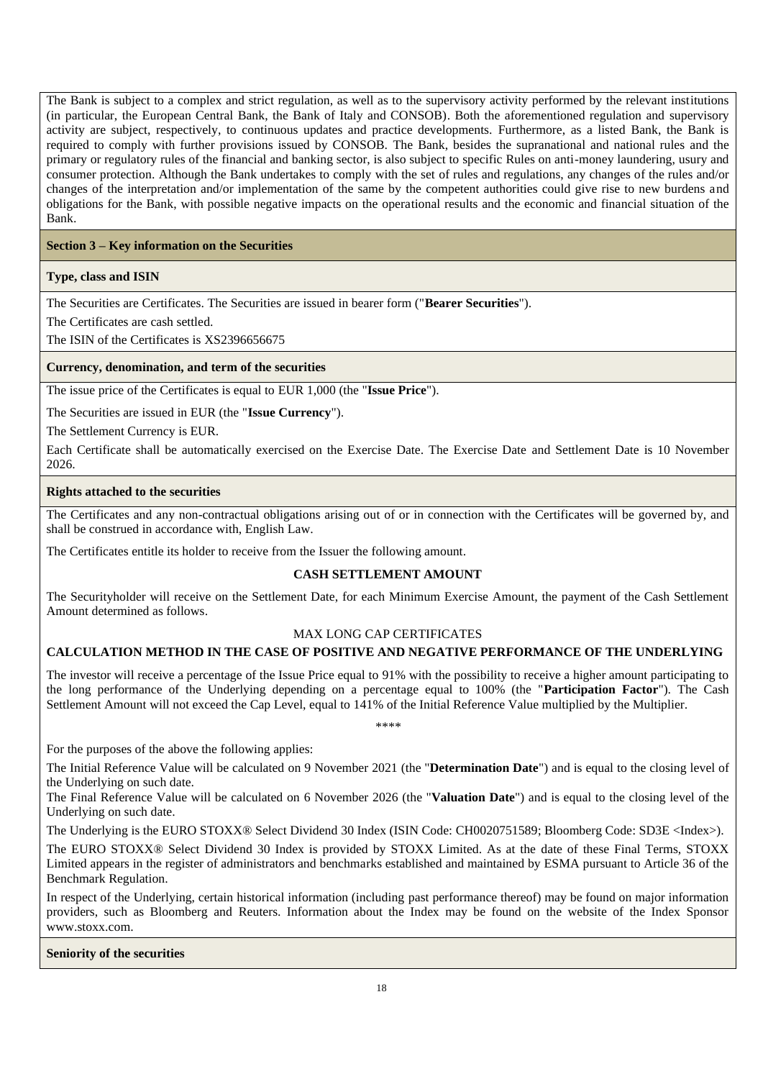The Bank is subject to a complex and strict regulation, as well as to the supervisory activity performed by the relevant institutions (in particular, the European Central Bank, the Bank of Italy and CONSOB). Both the aforementioned regulation and supervisory activity are subject, respectively, to continuous updates and practice developments. Furthermore, as a listed Bank, the Bank is required to comply with further provisions issued by CONSOB. The Bank, besides the supranational and national rules and the primary or regulatory rules of the financial and banking sector, is also subject to specific Rules on anti-money laundering, usury and consumer protection. Although the Bank undertakes to comply with the set of rules and regulations, any changes of the rules and/or changes of the interpretation and/or implementation of the same by the competent authorities could give rise to new burdens and obligations for the Bank, with possible negative impacts on the operational results and the economic and financial situation of the Bank.

## **Section 3 – Key information on the Securities**

### **Type, class and ISIN**

The Securities are Certificates. The Securities are issued in bearer form ("**Bearer Securities**").

The Certificates are cash settled.

The ISIN of the Certificates is XS2396656675

### **Currency, denomination, and term of the securities**

The issue price of the Certificates is equal to EUR 1,000 (the "**Issue Price**").

The Securities are issued in EUR (the "**Issue Currency**").

The Settlement Currency is EUR.

Each Certificate shall be automatically exercised on the Exercise Date. The Exercise Date and Settlement Date is 10 November 2026.

### **Rights attached to the securities**

The Certificates and any non-contractual obligations arising out of or in connection with the Certificates will be governed by, and shall be construed in accordance with, English Law.

The Certificates entitle its holder to receive from the Issuer the following amount.

## **CASH SETTLEMENT AMOUNT**

The Securityholder will receive on the Settlement Date, for each Minimum Exercise Amount, the payment of the Cash Settlement Amount determined as follows.

### MAX LONG CAP CERTIFICATES

## **CALCULATION METHOD IN THE CASE OF POSITIVE AND NEGATIVE PERFORMANCE OF THE UNDERLYING**

The investor will receive a percentage of the Issue Price equal to 91% with the possibility to receive a higher amount participating to the long performance of the Underlying depending on a percentage equal to 100% (the "**Participation Factor**"). The Cash Settlement Amount will not exceed the Cap Level, equal to 141% of the Initial Reference Value multiplied by the Multiplier.

*\*\*\*\**

For the purposes of the above the following applies:

The Initial Reference Value will be calculated on 9 November 2021 (the "**Determination Date**") and is equal to the closing level of the Underlying on such date.

The Final Reference Value will be calculated on 6 November 2026 (the "**Valuation Date**") and is equal to the closing level of the Underlying on such date.

The Underlying is the EURO STOXX® Select Dividend 30 Index (ISIN Code: CH0020751589; Bloomberg Code: SD3E <Index>).

The EURO STOXX® Select Dividend 30 Index is provided by STOXX Limited. As at the date of these Final Terms, STOXX Limited appears in the register of administrators and benchmarks established and maintained by ESMA pursuant to Article 36 of the Benchmark Regulation.

In respect of the Underlying, certain historical information (including past performance thereof) may be found on major information providers, such as Bloomberg and Reuters. Information about the Index may be found on the website of the Index Sponsor www.stoxx.com.

**Seniority of the securities**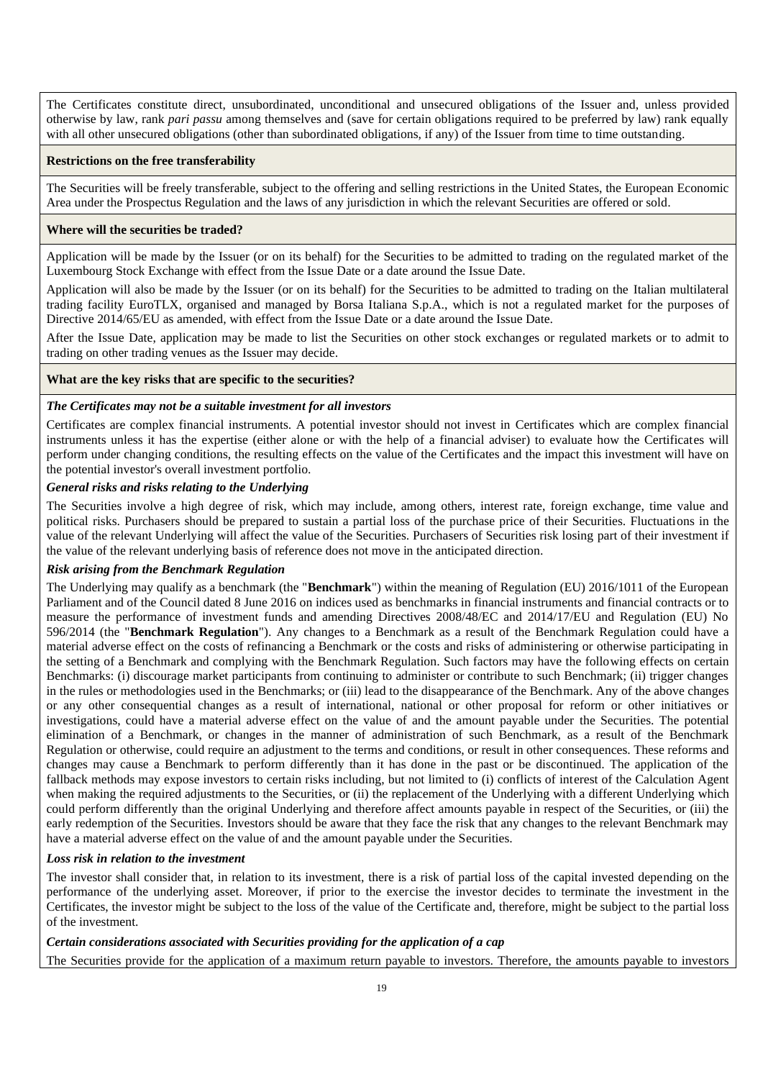The Certificates constitute direct, unsubordinated, unconditional and unsecured obligations of the Issuer and, unless provided otherwise by law, rank *pari passu* among themselves and (save for certain obligations required to be preferred by law) rank equally with all other unsecured obligations (other than subordinated obligations, if any) of the Issuer from time to time outstanding.

#### **Restrictions on the free transferability**

The Securities will be freely transferable, subject to the offering and selling restrictions in the United States, the European Economic Area under the Prospectus Regulation and the laws of any jurisdiction in which the relevant Securities are offered or sold.

#### **Where will the securities be traded?**

Application will be made by the Issuer (or on its behalf) for the Securities to be admitted to trading on the regulated market of the Luxembourg Stock Exchange with effect from the Issue Date or a date around the Issue Date.

Application will also be made by the Issuer (or on its behalf) for the Securities to be admitted to trading on the Italian multilateral trading facility EuroTLX, organised and managed by Borsa Italiana S.p.A., which is not a regulated market for the purposes of Directive 2014/65/EU as amended, with effect from the Issue Date or a date around the Issue Date.

After the Issue Date, application may be made to list the Securities on other stock exchanges or regulated markets or to admit to trading on other trading venues as the Issuer may decide.

#### **What are the key risks that are specific to the securities?**

#### *The Certificates may not be a suitable investment for all investors*

Certificates are complex financial instruments. A potential investor should not invest in Certificates which are complex financial instruments unless it has the expertise (either alone or with the help of a financial adviser) to evaluate how the Certificates will perform under changing conditions, the resulting effects on the value of the Certificates and the impact this investment will have on the potential investor's overall investment portfolio.

#### *General risks and risks relating to the Underlying*

The Securities involve a high degree of risk, which may include, among others, interest rate, foreign exchange, time value and political risks. Purchasers should be prepared to sustain a partial loss of the purchase price of their Securities. Fluctuations in the value of the relevant Underlying will affect the value of the Securities. Purchasers of Securities risk losing part of their investment if the value of the relevant underlying basis of reference does not move in the anticipated direction.

### *Risk arising from the Benchmark Regulation*

The Underlying may qualify as a benchmark (the "**Benchmark**") within the meaning of Regulation (EU) 2016/1011 of the European Parliament and of the Council dated 8 June 2016 on indices used as benchmarks in financial instruments and financial contracts or to measure the performance of investment funds and amending Directives 2008/48/EC and 2014/17/EU and Regulation (EU) No 596/2014 (the "**Benchmark Regulation**"). Any changes to a Benchmark as a result of the Benchmark Regulation could have a material adverse effect on the costs of refinancing a Benchmark or the costs and risks of administering or otherwise participating in the setting of a Benchmark and complying with the Benchmark Regulation. Such factors may have the following effects on certain Benchmarks: (i) discourage market participants from continuing to administer or contribute to such Benchmark; (ii) trigger changes in the rules or methodologies used in the Benchmarks; or (iii) lead to the disappearance of the Benchmark. Any of the above changes or any other consequential changes as a result of international, national or other proposal for reform or other initiatives or investigations, could have a material adverse effect on the value of and the amount payable under the Securities. The potential elimination of a Benchmark, or changes in the manner of administration of such Benchmark, as a result of the Benchmark Regulation or otherwise, could require an adjustment to the terms and conditions, or result in other consequences. These reforms and changes may cause a Benchmark to perform differently than it has done in the past or be discontinued. The application of the fallback methods may expose investors to certain risks including, but not limited to (i) conflicts of interest of the Calculation Agent when making the required adjustments to the Securities, or (ii) the replacement of the Underlying with a different Underlying which could perform differently than the original Underlying and therefore affect amounts payable in respect of the Securities, or (iii) the early redemption of the Securities. Investors should be aware that they face the risk that any changes to the relevant Benchmark may have a material adverse effect on the value of and the amount payable under the Securities.

#### *Loss risk in relation to the investment*

The investor shall consider that, in relation to its investment, there is a risk of partial loss of the capital invested depending on the performance of the underlying asset. Moreover, if prior to the exercise the investor decides to terminate the investment in the Certificates, the investor might be subject to the loss of the value of the Certificate and, therefore, might be subject to the partial loss of the investment.

### *Certain considerations associated with Securities providing for the application of a cap*

The Securities provide for the application of a maximum return payable to investors. Therefore, the amounts payable to investors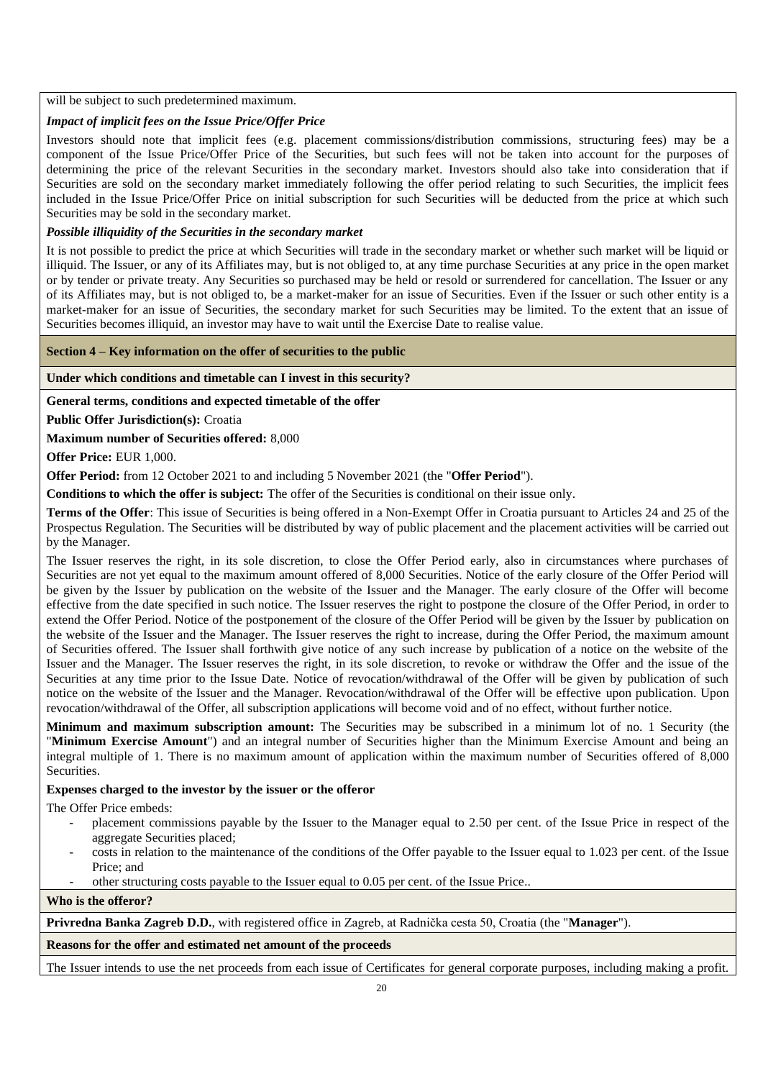#### will be subject to such predetermined maximum.

### *Impact of implicit fees on the Issue Price/Offer Price*

Investors should note that implicit fees (e.g. placement commissions/distribution commissions, structuring fees) may be a component of the Issue Price/Offer Price of the Securities, but such fees will not be taken into account for the purposes of determining the price of the relevant Securities in the secondary market. Investors should also take into consideration that if Securities are sold on the secondary market immediately following the offer period relating to such Securities, the implicit fees included in the Issue Price/Offer Price on initial subscription for such Securities will be deducted from the price at which such Securities may be sold in the secondary market.

### *Possible illiquidity of the Securities in the secondary market*

It is not possible to predict the price at which Securities will trade in the secondary market or whether such market will be liquid or illiquid. The Issuer, or any of its Affiliates may, but is not obliged to, at any time purchase Securities at any price in the open market or by tender or private treaty. Any Securities so purchased may be held or resold or surrendered for cancellation. The Issuer or any of its Affiliates may, but is not obliged to, be a market-maker for an issue of Securities. Even if the Issuer or such other entity is a market-maker for an issue of Securities, the secondary market for such Securities may be limited. To the extent that an issue of Securities becomes illiquid, an investor may have to wait until the Exercise Date to realise value.

#### **Section 4 – Key information on the offer of securities to the public**

#### **Under which conditions and timetable can I invest in this security?**

#### **General terms, conditions and expected timetable of the offer**

**Public Offer Jurisdiction(s):** Croatia

**Maximum number of Securities offered:** 8,000

**Offer Price:** EUR 1,000.

**Offer Period:** from 12 October 2021 to and including 5 November 2021 (the "**Offer Period**").

**Conditions to which the offer is subject:** The offer of the Securities is conditional on their issue only.

**Terms of the Offer**: This issue of Securities is being offered in a Non-Exempt Offer in Croatia pursuant to Articles 24 and 25 of the Prospectus Regulation. The Securities will be distributed by way of public placement and the placement activities will be carried out by the Manager.

The Issuer reserves the right, in its sole discretion, to close the Offer Period early, also in circumstances where purchases of Securities are not vet equal to the maximum amount offered of 8,000 Securities. Notice of the early closure of the Offer Period will be given by the Issuer by publication on the website of the Issuer and the Manager. The early closure of the Offer will become effective from the date specified in such notice. The Issuer reserves the right to postpone the closure of the Offer Period, in order to extend the Offer Period. Notice of the postponement of the closure of the Offer Period will be given by the Issuer by publication on the website of the Issuer and the Manager. The Issuer reserves the right to increase, during the Offer Period, the maximum amount of Securities offered. The Issuer shall forthwith give notice of any such increase by publication of a notice on the website of the Issuer and the Manager. The Issuer reserves the right, in its sole discretion, to revoke or withdraw the Offer and the issue of the Securities at any time prior to the Issue Date. Notice of revocation/withdrawal of the Offer will be given by publication of such notice on the website of the Issuer and the Manager. Revocation/withdrawal of the Offer will be effective upon publication. Upon revocation/withdrawal of the Offer, all subscription applications will become void and of no effect, without further notice.

**Minimum and maximum subscription amount:** The Securities may be subscribed in a minimum lot of no. 1 Security (the "**Minimum Exercise Amount**") and an integral number of Securities higher than the Minimum Exercise Amount and being an integral multiple of 1. There is no maximum amount of application within the maximum number of Securities offered of 8,000 Securities.

### **Expenses charged to the investor by the issuer or the offeror**

The Offer Price embeds:

- placement commissions payable by the Issuer to the Manager equal to 2.50 per cent. of the Issue Price in respect of the aggregate Securities placed;
- costs in relation to the maintenance of the conditions of the Offer payable to the Issuer equal to 1.023 per cent. of the Issue Price; and
- other structuring costs payable to the Issuer equal to 0.05 per cent. of the Issue Price..

#### **Who is the offeror?**

**Privredna Banka Zagreb D.D.**, with registered office in Zagreb, at Radnička cesta 50, Croatia (the "**Manager**").

#### **Reasons for the offer and estimated net amount of the proceeds**

The Issuer intends to use the net proceeds from each issue of Certificates for general corporate purposes, including making a profit.